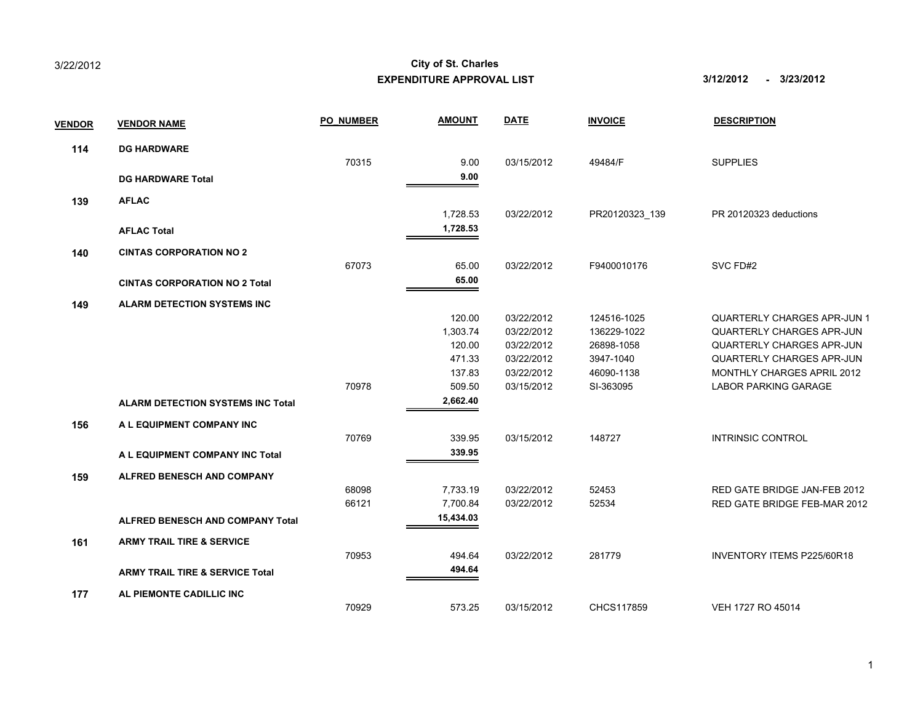|               |                                            |                  | EXPENDITURE APPROVAL LIST |             | 3/12/2012<br>- 3/23/2012 |                                    |
|---------------|--------------------------------------------|------------------|---------------------------|-------------|--------------------------|------------------------------------|
| <b>VENDOR</b> | <b>VENDOR NAME</b>                         | <b>PO NUMBER</b> | <b>AMOUNT</b>             | <b>DATE</b> | <b>INVOICE</b>           | <b>DESCRIPTION</b>                 |
| 114           | <b>DG HARDWARE</b>                         |                  |                           |             |                          |                                    |
|               |                                            | 70315            | 9.00                      | 03/15/2012  | 49484/F                  | <b>SUPPLIES</b>                    |
|               | <b>DG HARDWARE Total</b>                   |                  | 9.00                      |             |                          |                                    |
| 139           | <b>AFLAC</b>                               |                  |                           |             |                          |                                    |
|               |                                            |                  | 1,728.53                  | 03/22/2012  | PR20120323_139           | PR 20120323 deductions             |
|               | <b>AFLAC Total</b>                         |                  | 1,728.53                  |             |                          |                                    |
| 140           | <b>CINTAS CORPORATION NO 2</b>             |                  |                           |             |                          |                                    |
|               |                                            | 67073            | 65.00                     | 03/22/2012  | F9400010176              | SVC FD#2                           |
|               | <b>CINTAS CORPORATION NO 2 Total</b>       |                  | 65.00                     |             |                          |                                    |
| 149           | <b>ALARM DETECTION SYSTEMS INC</b>         |                  |                           |             |                          |                                    |
|               |                                            |                  | 120.00                    | 03/22/2012  | 124516-1025              | <b>QUARTERLY CHARGES APR-JUN 1</b> |
|               |                                            |                  | 1,303.74                  | 03/22/2012  | 136229-1022              | <b>QUARTERLY CHARGES APR-JUN</b>   |
|               |                                            |                  | 120.00                    | 03/22/2012  | 26898-1058               | <b>QUARTERLY CHARGES APR-JUN</b>   |
|               |                                            |                  | 471.33                    | 03/22/2012  | 3947-1040                | QUARTERLY CHARGES APR-JUN          |
|               |                                            |                  | 137.83                    | 03/22/2012  | 46090-1138               | MONTHLY CHARGES APRIL 2012         |
|               |                                            | 70978            | 509.50                    | 03/15/2012  | SI-363095                | <b>LABOR PARKING GARAGE</b>        |
|               | <b>ALARM DETECTION SYSTEMS INC Total</b>   |                  | 2,662.40                  |             |                          |                                    |
| 156           | A L EQUIPMENT COMPANY INC                  |                  |                           |             |                          |                                    |
|               |                                            | 70769            | 339.95                    | 03/15/2012  | 148727                   | INTRINSIC CONTROL                  |
|               | A L EQUIPMENT COMPANY INC Total            |                  | 339.95                    |             |                          |                                    |
| 159           | ALFRED BENESCH AND COMPANY                 |                  |                           |             |                          |                                    |
|               |                                            | 68098            | 7,733.19                  | 03/22/2012  | 52453                    | RED GATE BRIDGE JAN-FEB 2012       |
|               |                                            | 66121            | 7,700.84                  | 03/22/2012  | 52534                    | RED GATE BRIDGE FEB-MAR 2012       |
|               | <b>ALFRED BENESCH AND COMPANY Total</b>    |                  | 15,434.03                 |             |                          |                                    |
| 161           | <b>ARMY TRAIL TIRE &amp; SERVICE</b>       |                  |                           |             |                          |                                    |
|               |                                            | 70953            | 494.64                    | 03/22/2012  | 281779                   | <b>INVENTORY ITEMS P225/60R18</b>  |
|               | <b>ARMY TRAIL TIRE &amp; SERVICE Total</b> |                  | 494.64                    |             |                          |                                    |
| 177           | AL PIEMONTE CADILLIC INC                   |                  |                           |             |                          |                                    |
|               |                                            | 70929            | 573.25                    | 03/15/2012  | CHCS117859               | VEH 1727 RO 45014                  |

## **EXPENDITURE APPROVAL LIST 3/12/2012 - 3/23/2012** 3/22/2012 **City of St. Charles**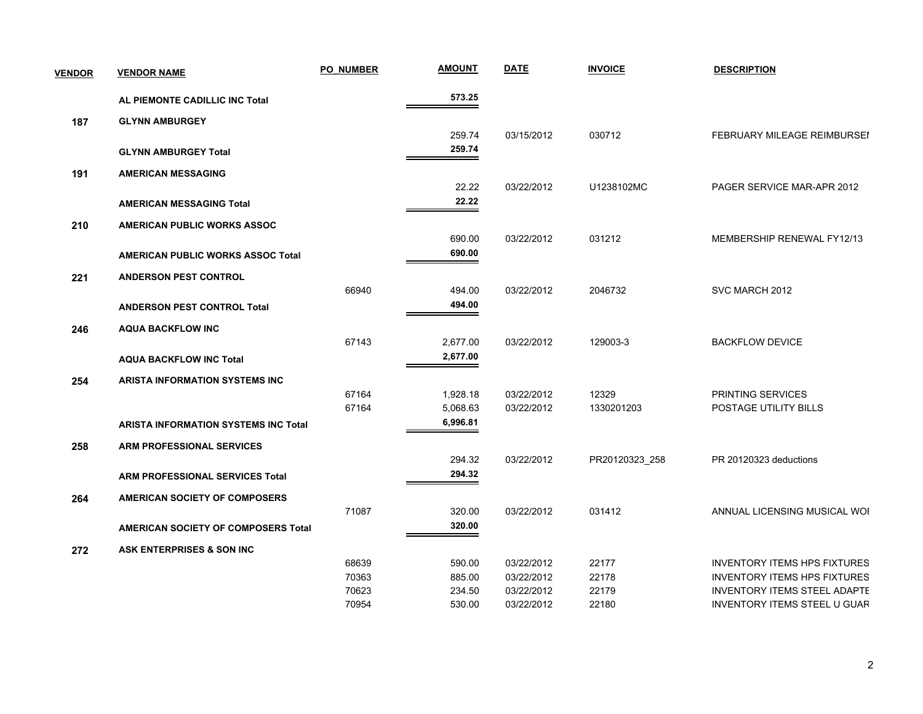| <b>VENDOR</b> | <b>VENDOR NAME</b>                          | <b>PO NUMBER</b> | <b>AMOUNT</b> | <b>DATE</b> | <b>INVOICE</b> | <b>DESCRIPTION</b>                  |
|---------------|---------------------------------------------|------------------|---------------|-------------|----------------|-------------------------------------|
|               | AL PIEMONTE CADILLIC INC Total              |                  | 573.25        |             |                |                                     |
| 187           | <b>GLYNN AMBURGEY</b>                       |                  |               |             |                |                                     |
|               |                                             |                  | 259.74        | 03/15/2012  | 030712         | FEBRUARY MILEAGE REIMBURSEI         |
|               | <b>GLYNN AMBURGEY Total</b>                 |                  | 259.74        |             |                |                                     |
| 191           | <b>AMERICAN MESSAGING</b>                   |                  |               |             |                |                                     |
|               |                                             |                  | 22.22         | 03/22/2012  | U1238102MC     | PAGER SERVICE MAR-APR 2012          |
|               | <b>AMERICAN MESSAGING Total</b>             |                  | 22.22         |             |                |                                     |
| 210           | AMERICAN PUBLIC WORKS ASSOC                 |                  |               |             |                |                                     |
|               |                                             |                  | 690.00        | 03/22/2012  | 031212         | MEMBERSHIP RENEWAL FY12/13          |
|               | <b>AMERICAN PUBLIC WORKS ASSOC Total</b>    |                  | 690.00        |             |                |                                     |
| 221           | <b>ANDERSON PEST CONTROL</b>                |                  |               |             |                |                                     |
|               |                                             | 66940            | 494.00        | 03/22/2012  | 2046732        | SVC MARCH 2012                      |
|               | <b>ANDERSON PEST CONTROL Total</b>          |                  | 494.00        |             |                |                                     |
| 246           | <b>AQUA BACKFLOW INC</b>                    |                  |               |             |                |                                     |
|               |                                             | 67143            | 2,677.00      | 03/22/2012  | 129003-3       | <b>BACKFLOW DEVICE</b>              |
|               | <b>AQUA BACKFLOW INC Total</b>              |                  | 2,677.00      |             |                |                                     |
| 254           | <b>ARISTA INFORMATION SYSTEMS INC</b>       |                  |               |             |                |                                     |
|               |                                             | 67164            | 1,928.18      | 03/22/2012  | 12329          | PRINTING SERVICES                   |
|               |                                             | 67164            | 5,068.63      | 03/22/2012  | 1330201203     | POSTAGE UTILITY BILLS               |
|               | <b>ARISTA INFORMATION SYSTEMS INC Total</b> |                  | 6,996.81      |             |                |                                     |
| 258           | <b>ARM PROFESSIONAL SERVICES</b>            |                  |               |             |                |                                     |
|               |                                             |                  | 294.32        | 03/22/2012  | PR20120323 258 | PR 20120323 deductions              |
|               | <b>ARM PROFESSIONAL SERVICES Total</b>      |                  | 294.32        |             |                |                                     |
| 264           | <b>AMERICAN SOCIETY OF COMPOSERS</b>        |                  |               |             |                |                                     |
|               |                                             | 71087            | 320.00        | 03/22/2012  | 031412         | ANNUAL LICENSING MUSICAL WOI        |
|               | <b>AMERICAN SOCIETY OF COMPOSERS Total</b>  |                  | 320.00        |             |                |                                     |
| 272           | ASK ENTERPRISES & SON INC                   |                  |               |             |                |                                     |
|               |                                             | 68639            | 590.00        | 03/22/2012  | 22177          | <b>INVENTORY ITEMS HPS FIXTURES</b> |
|               |                                             | 70363            | 885.00        | 03/22/2012  | 22178          | <b>INVENTORY ITEMS HPS FIXTURES</b> |
|               |                                             | 70623            | 234.50        | 03/22/2012  | 22179          | <b>INVENTORY ITEMS STEEL ADAPTE</b> |
|               |                                             | 70954            | 530.00        | 03/22/2012  | 22180          | <b>INVENTORY ITEMS STEEL U GUAR</b> |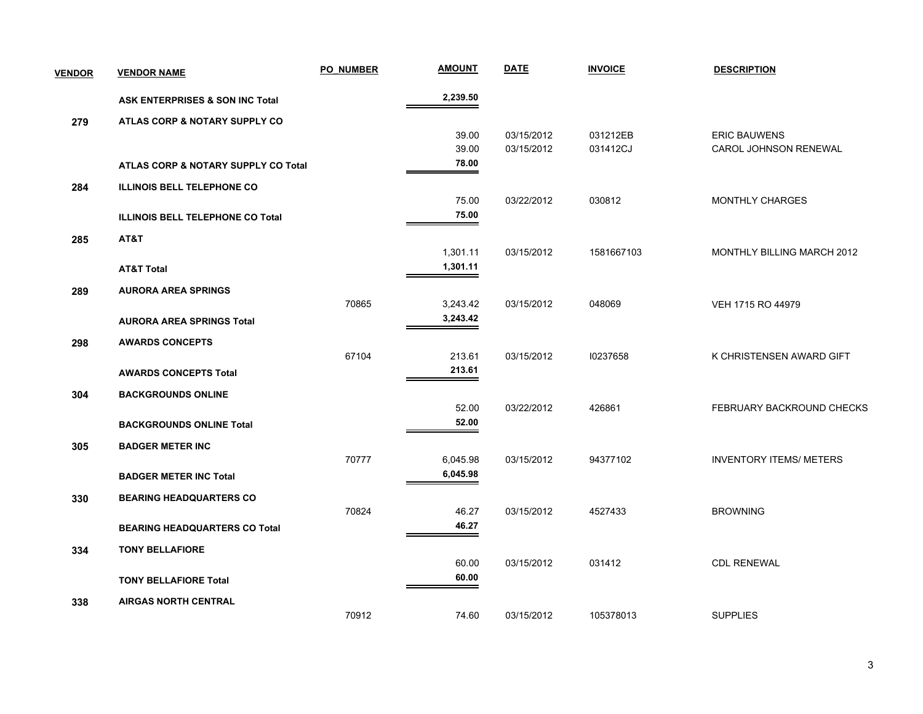| <b>VENDOR</b> | <b>VENDOR NAME</b>                      | <b>PO NUMBER</b> | <b>AMOUNT</b> | <b>DATE</b> | <b>INVOICE</b> | <b>DESCRIPTION</b>             |
|---------------|-----------------------------------------|------------------|---------------|-------------|----------------|--------------------------------|
|               | ASK ENTERPRISES & SON INC Total         |                  | 2,239.50      |             |                |                                |
| 279           | ATLAS CORP & NOTARY SUPPLY CO           |                  |               |             |                |                                |
|               |                                         |                  | 39.00         | 03/15/2012  | 031212EB       | <b>ERIC BAUWENS</b>            |
|               |                                         |                  | 39.00         | 03/15/2012  | 031412CJ       | CAROL JOHNSON RENEWAL          |
|               | ATLAS CORP & NOTARY SUPPLY CO Total     |                  | 78.00         |             |                |                                |
| 284           | <b>ILLINOIS BELL TELEPHONE CO</b>       |                  |               |             |                |                                |
|               |                                         |                  | 75.00         | 03/22/2012  | 030812         | <b>MONTHLY CHARGES</b>         |
|               | <b>ILLINOIS BELL TELEPHONE CO Total</b> |                  | 75.00         |             |                |                                |
| 285           | AT&T                                    |                  |               |             |                |                                |
|               |                                         |                  | 1,301.11      | 03/15/2012  | 1581667103     | MONTHLY BILLING MARCH 2012     |
|               | <b>AT&amp;T Total</b>                   |                  | 1,301.11      |             |                |                                |
| 289           | <b>AURORA AREA SPRINGS</b>              |                  |               |             |                |                                |
|               |                                         | 70865            | 3,243.42      | 03/15/2012  | 048069         | VEH 1715 RO 44979              |
|               | <b>AURORA AREA SPRINGS Total</b>        |                  | 3,243.42      |             |                |                                |
| 298           | <b>AWARDS CONCEPTS</b>                  |                  |               |             |                |                                |
|               |                                         | 67104            | 213.61        | 03/15/2012  | 10237658       | K CHRISTENSEN AWARD GIFT       |
|               | <b>AWARDS CONCEPTS Total</b>            |                  | 213.61        |             |                |                                |
| 304           | <b>BACKGROUNDS ONLINE</b>               |                  |               |             |                |                                |
|               |                                         |                  | 52.00         | 03/22/2012  | 426861         | FEBRUARY BACKROUND CHECKS      |
|               | <b>BACKGROUNDS ONLINE Total</b>         |                  | 52.00         |             |                |                                |
| 305           | <b>BADGER METER INC</b>                 |                  |               |             |                |                                |
|               |                                         | 70777            | 6,045.98      | 03/15/2012  | 94377102       | <b>INVENTORY ITEMS/ METERS</b> |
|               | <b>BADGER METER INC Total</b>           |                  | 6,045.98      |             |                |                                |
| 330           | <b>BEARING HEADQUARTERS CO</b>          |                  |               |             |                |                                |
|               |                                         | 70824            | 46.27         | 03/15/2012  | 4527433        | <b>BROWNING</b>                |
|               | <b>BEARING HEADQUARTERS CO Total</b>    |                  | 46.27         |             |                |                                |
| 334           | <b>TONY BELLAFIORE</b>                  |                  |               |             |                |                                |
|               |                                         |                  | 60.00         | 03/15/2012  | 031412         | <b>CDL RENEWAL</b>             |
|               | <b>TONY BELLAFIORE Total</b>            |                  | 60.00         |             |                |                                |
| 338           | <b>AIRGAS NORTH CENTRAL</b>             |                  |               |             |                |                                |
|               |                                         | 70912            | 74.60         | 03/15/2012  | 105378013      | <b>SUPPLIES</b>                |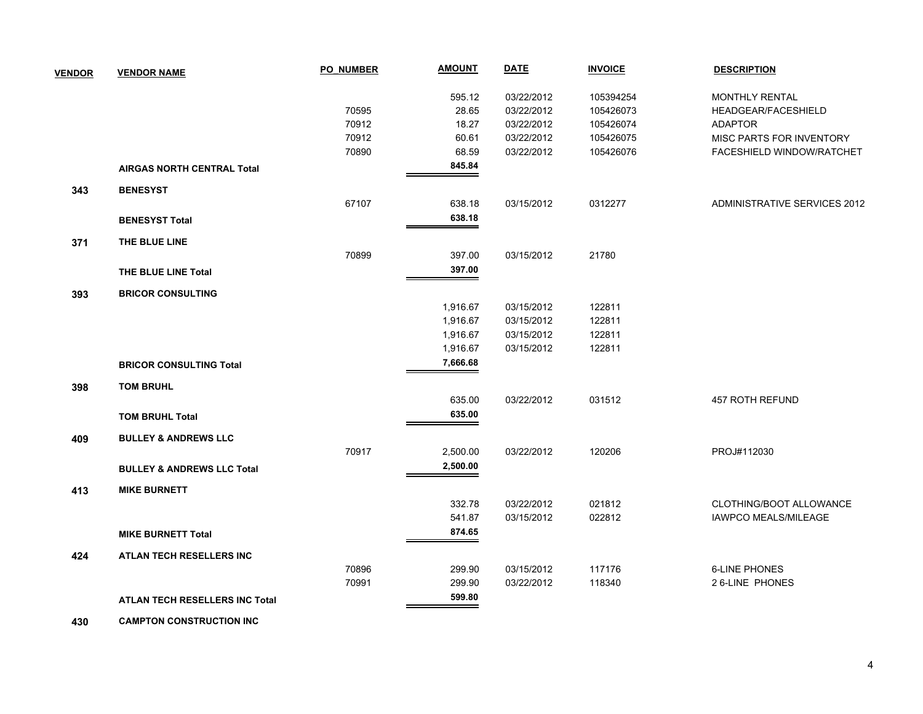| <b>VENDOR</b> | <b>VENDOR NAME</b>                    | PO NUMBER | <b>AMOUNT</b> | <b>DATE</b> | <b>INVOICE</b> | <b>DESCRIPTION</b>           |
|---------------|---------------------------------------|-----------|---------------|-------------|----------------|------------------------------|
|               |                                       |           | 595.12        | 03/22/2012  | 105394254      | MONTHLY RENTAL               |
|               |                                       | 70595     | 28.65         | 03/22/2012  | 105426073      | HEADGEAR/FACESHIELD          |
|               |                                       | 70912     | 18.27         | 03/22/2012  | 105426074      | <b>ADAPTOR</b>               |
|               |                                       | 70912     | 60.61         | 03/22/2012  | 105426075      | MISC PARTS FOR INVENTORY     |
|               |                                       | 70890     | 68.59         | 03/22/2012  | 105426076      | FACESHIELD WINDOW/RATCHET    |
|               | <b>AIRGAS NORTH CENTRAL Total</b>     |           | 845.84        |             |                |                              |
| 343           | <b>BENESYST</b>                       |           |               |             |                |                              |
|               |                                       | 67107     | 638.18        | 03/15/2012  | 0312277        | ADMINISTRATIVE SERVICES 2012 |
|               | <b>BENESYST Total</b>                 |           | 638.18        |             |                |                              |
| 371           | THE BLUE LINE                         |           |               |             |                |                              |
|               |                                       | 70899     | 397.00        | 03/15/2012  | 21780          |                              |
|               | THE BLUE LINE Total                   |           | 397.00        |             |                |                              |
| 393           | <b>BRICOR CONSULTING</b>              |           |               |             |                |                              |
|               |                                       |           | 1,916.67      | 03/15/2012  | 122811         |                              |
|               |                                       |           | 1,916.67      | 03/15/2012  | 122811         |                              |
|               |                                       |           | 1,916.67      | 03/15/2012  | 122811         |                              |
|               |                                       |           | 1,916.67      | 03/15/2012  | 122811         |                              |
|               | <b>BRICOR CONSULTING Total</b>        |           | 7,666.68      |             |                |                              |
| 398           | <b>TOM BRUHL</b>                      |           |               |             |                |                              |
|               |                                       |           | 635.00        | 03/22/2012  | 031512         | 457 ROTH REFUND              |
|               | <b>TOM BRUHL Total</b>                |           | 635.00        |             |                |                              |
| 409           | <b>BULLEY &amp; ANDREWS LLC</b>       |           |               |             |                |                              |
|               |                                       | 70917     | 2,500.00      | 03/22/2012  | 120206         | PROJ#112030                  |
|               | <b>BULLEY &amp; ANDREWS LLC Total</b> |           | 2,500.00      |             |                |                              |
| 413           | <b>MIKE BURNETT</b>                   |           |               |             |                |                              |
|               |                                       |           | 332.78        | 03/22/2012  | 021812         | CLOTHING/BOOT ALLOWANCE      |
|               |                                       |           | 541.87        | 03/15/2012  | 022812         | <b>IAWPCO MEALS/MILEAGE</b>  |
|               | <b>MIKE BURNETT Total</b>             |           | 874.65        |             |                |                              |
| 424           | <b>ATLAN TECH RESELLERS INC</b>       |           |               |             |                |                              |
|               |                                       | 70896     | 299.90        | 03/15/2012  | 117176         | <b>6-LINE PHONES</b>         |
|               |                                       | 70991     | 299.90        | 03/22/2012  | 118340         | 2 6-LINE PHONES              |
|               | ATLAN TECH RESELLERS INC Total        |           | 599.80        |             |                |                              |
|               |                                       |           |               |             |                |                              |

 **430 CAMPTON CONSTRUCTION INC**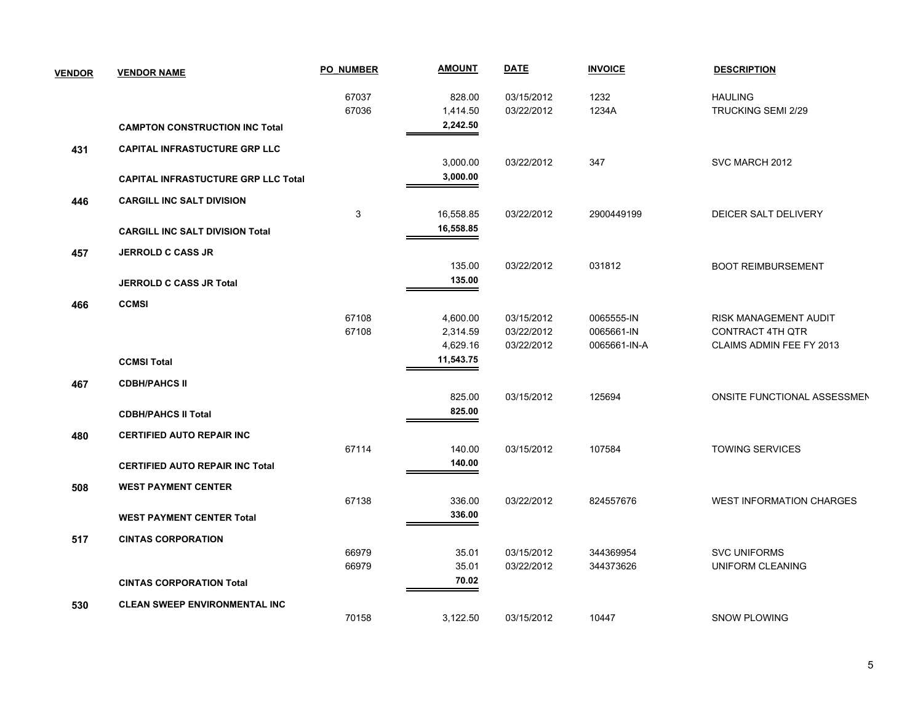| <b>VENDOR</b> | <b>VENDOR NAME</b>                         | <b>PO NUMBER</b> | <b>AMOUNT</b> | <b>DATE</b> | <b>INVOICE</b> | <b>DESCRIPTION</b>                 |
|---------------|--------------------------------------------|------------------|---------------|-------------|----------------|------------------------------------|
|               |                                            | 67037            | 828.00        | 03/15/2012  | 1232           | <b>HAULING</b>                     |
|               |                                            | 67036            | 1,414.50      | 03/22/2012  | 1234A          | TRUCKING SEMI 2/29                 |
|               | <b>CAMPTON CONSTRUCTION INC Total</b>      |                  | 2,242.50      |             |                |                                    |
| 431           | <b>CAPITAL INFRASTUCTURE GRP LLC</b>       |                  |               |             |                |                                    |
|               |                                            |                  | 3,000.00      | 03/22/2012  | 347            | SVC MARCH 2012                     |
|               | <b>CAPITAL INFRASTUCTURE GRP LLC Total</b> |                  | 3,000.00      |             |                |                                    |
| 446           | <b>CARGILL INC SALT DIVISION</b>           |                  |               |             |                |                                    |
|               |                                            | 3                | 16,558.85     | 03/22/2012  | 2900449199     | DEICER SALT DELIVERY               |
|               | <b>CARGILL INC SALT DIVISION Total</b>     |                  | 16,558.85     |             |                |                                    |
| 457           | <b>JERROLD C CASS JR</b>                   |                  |               |             |                |                                    |
|               |                                            |                  | 135.00        | 03/22/2012  | 031812         | <b>BOOT REIMBURSEMENT</b>          |
|               | <b>JERROLD C CASS JR Total</b>             |                  | 135.00        |             |                |                                    |
| 466           | <b>CCMSI</b>                               |                  |               |             |                |                                    |
|               |                                            | 67108            | 4,600.00      | 03/15/2012  | 0065555-IN     | RISK MANAGEMENT AUDIT              |
|               |                                            | 67108            | 2,314.59      | 03/22/2012  | 0065661-IN     | <b>CONTRACT 4TH QTR</b>            |
|               |                                            |                  | 4,629.16      | 03/22/2012  | 0065661-IN-A   | CLAIMS ADMIN FEE FY 2013           |
|               | <b>CCMSI Total</b>                         |                  | 11,543.75     |             |                |                                    |
| 467           | <b>CDBH/PAHCS II</b>                       |                  |               |             |                |                                    |
|               |                                            |                  | 825.00        | 03/15/2012  | 125694         | <b>ONSITE FUNCTIONAL ASSESSMEN</b> |
|               | <b>CDBH/PAHCS II Total</b>                 |                  | 825.00        |             |                |                                    |
| 480           | <b>CERTIFIED AUTO REPAIR INC</b>           |                  |               |             |                |                                    |
|               |                                            | 67114            | 140.00        | 03/15/2012  | 107584         | <b>TOWING SERVICES</b>             |
|               | <b>CERTIFIED AUTO REPAIR INC Total</b>     |                  | 140.00        |             |                |                                    |
| 508           | <b>WEST PAYMENT CENTER</b>                 |                  |               |             |                |                                    |
|               |                                            | 67138            | 336.00        | 03/22/2012  | 824557676      | <b>WEST INFORMATION CHARGES</b>    |
|               | <b>WEST PAYMENT CENTER Total</b>           |                  | 336.00        |             |                |                                    |
| 517           | <b>CINTAS CORPORATION</b>                  |                  |               |             |                |                                    |
|               |                                            | 66979            | 35.01         | 03/15/2012  | 344369954      | <b>SVC UNIFORMS</b>                |
|               |                                            | 66979            | 35.01         | 03/22/2012  | 344373626      | UNIFORM CLEANING                   |
|               | <b>CINTAS CORPORATION Total</b>            |                  | 70.02         |             |                |                                    |
| 530           | <b>CLEAN SWEEP ENVIRONMENTAL INC</b>       |                  |               |             |                |                                    |
|               |                                            | 70158            | 3,122.50      | 03/15/2012  | 10447          | <b>SNOW PLOWING</b>                |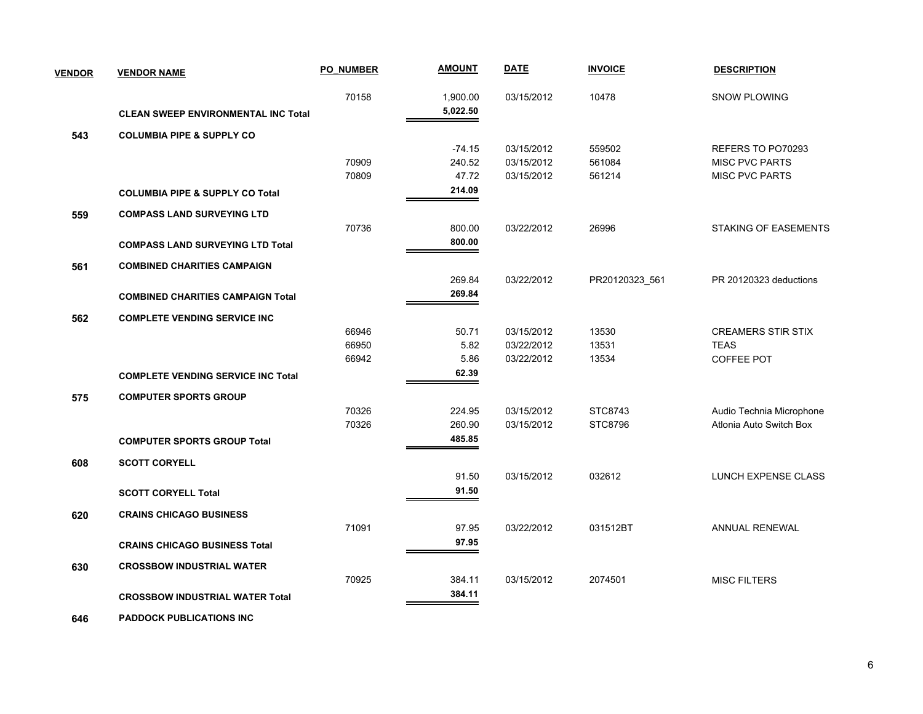| <b>VENDOR</b> | <b>VENDOR NAME</b>                         | <b>PO NUMBER</b> | <b>AMOUNT</b> | <b>DATE</b> | <b>INVOICE</b> | <b>DESCRIPTION</b>        |
|---------------|--------------------------------------------|------------------|---------------|-------------|----------------|---------------------------|
|               |                                            | 70158            | 1,900.00      | 03/15/2012  | 10478          | SNOW PLOWING              |
|               | <b>CLEAN SWEEP ENVIRONMENTAL INC Total</b> |                  | 5,022.50      |             |                |                           |
| 543           | <b>COLUMBIA PIPE &amp; SUPPLY CO</b>       |                  |               |             |                |                           |
|               |                                            |                  | $-74.15$      | 03/15/2012  | 559502         | REFERS TO PO70293         |
|               |                                            | 70909            | 240.52        | 03/15/2012  | 561084         | <b>MISC PVC PARTS</b>     |
|               |                                            | 70809            | 47.72         | 03/15/2012  | 561214         | <b>MISC PVC PARTS</b>     |
|               | <b>COLUMBIA PIPE &amp; SUPPLY CO Total</b> |                  | 214.09        |             |                |                           |
| 559           | <b>COMPASS LAND SURVEYING LTD</b>          |                  |               |             |                |                           |
|               |                                            | 70736            | 800.00        | 03/22/2012  | 26996          | STAKING OF EASEMENTS      |
|               | <b>COMPASS LAND SURVEYING LTD Total</b>    |                  | 800.00        |             |                |                           |
| 561           | <b>COMBINED CHARITIES CAMPAIGN</b>         |                  |               |             |                |                           |
|               |                                            |                  | 269.84        | 03/22/2012  | PR20120323_561 | PR 20120323 deductions    |
|               | <b>COMBINED CHARITIES CAMPAIGN Total</b>   |                  | 269.84        |             |                |                           |
| 562           | <b>COMPLETE VENDING SERVICE INC</b>        |                  |               |             |                |                           |
|               |                                            | 66946            | 50.71         | 03/15/2012  | 13530          | <b>CREAMERS STIR STIX</b> |
|               |                                            | 66950            | 5.82          | 03/22/2012  | 13531          | <b>TEAS</b>               |
|               |                                            | 66942            | 5.86          | 03/22/2012  | 13534          | COFFEE POT                |
|               | <b>COMPLETE VENDING SERVICE INC Total</b>  |                  | 62.39         |             |                |                           |
| 575           | <b>COMPUTER SPORTS GROUP</b>               |                  |               |             |                |                           |
|               |                                            | 70326            | 224.95        | 03/15/2012  | STC8743        | Audio Technia Microphone  |
|               |                                            | 70326            | 260.90        | 03/15/2012  | <b>STC8796</b> | Atlonia Auto Switch Box   |
|               | <b>COMPUTER SPORTS GROUP Total</b>         |                  | 485.85        |             |                |                           |
| 608           | <b>SCOTT CORYELL</b>                       |                  |               |             |                |                           |
|               |                                            |                  | 91.50         | 03/15/2012  | 032612         | LUNCH EXPENSE CLASS       |
|               | <b>SCOTT CORYELL Total</b>                 |                  | 91.50         |             |                |                           |
| 620           | <b>CRAINS CHICAGO BUSINESS</b>             |                  |               |             |                |                           |
|               |                                            | 71091            | 97.95         | 03/22/2012  | 031512BT       | ANNUAL RENEWAL            |
|               | <b>CRAINS CHICAGO BUSINESS Total</b>       |                  | 97.95         |             |                |                           |
| 630           | <b>CROSSBOW INDUSTRIAL WATER</b>           |                  |               |             |                |                           |
|               |                                            | 70925            | 384.11        | 03/15/2012  | 2074501        | <b>MISC FILTERS</b>       |
|               | <b>CROSSBOW INDUSTRIAL WATER Total</b>     |                  | 384.11        |             |                |                           |
|               |                                            |                  |               |             |                |                           |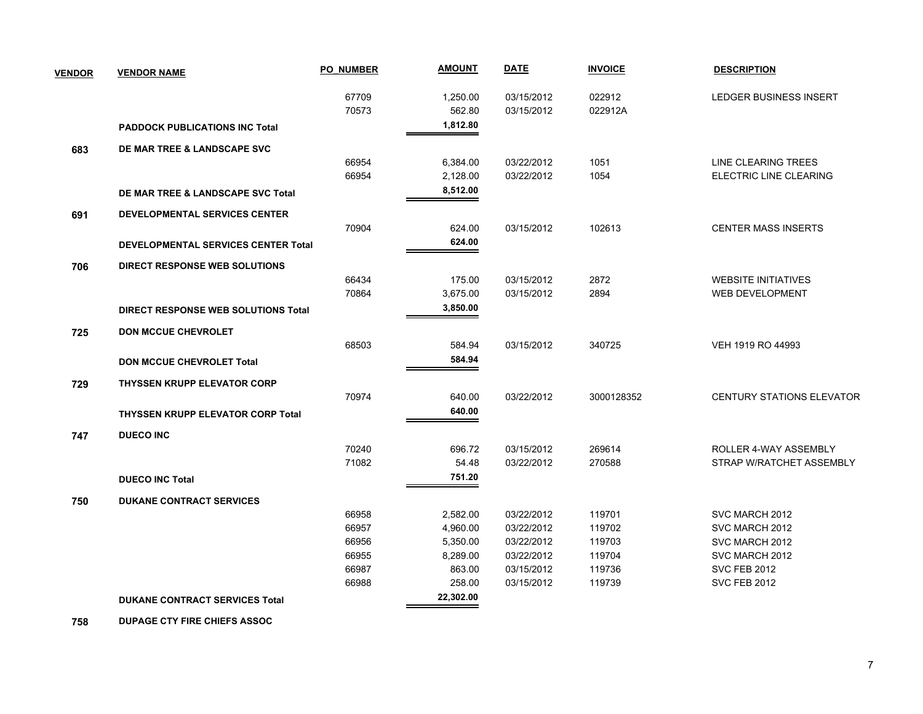| <b>VENDOR</b> | <b>VENDOR NAME</b>                         | <b>PO NUMBER</b> | <b>AMOUNT</b> | <b>DATE</b> | <b>INVOICE</b> | <b>DESCRIPTION</b>               |
|---------------|--------------------------------------------|------------------|---------------|-------------|----------------|----------------------------------|
|               |                                            | 67709            | 1,250.00      | 03/15/2012  | 022912         | LEDGER BUSINESS INSERT           |
|               |                                            | 70573            | 562.80        | 03/15/2012  | 022912A        |                                  |
|               | <b>PADDOCK PUBLICATIONS INC Total</b>      |                  | 1,812.80      |             |                |                                  |
| 683           | DE MAR TREE & LANDSCAPE SVC                |                  |               |             |                |                                  |
|               |                                            | 66954            | 6,384.00      | 03/22/2012  | 1051           | LINE CLEARING TREES              |
|               |                                            | 66954            | 2,128.00      | 03/22/2012  | 1054           | <b>ELECTRIC LINE CLEARING</b>    |
|               | DE MAR TREE & LANDSCAPE SVC Total          |                  | 8,512.00      |             |                |                                  |
| 691           | <b>DEVELOPMENTAL SERVICES CENTER</b>       |                  |               |             |                |                                  |
|               |                                            | 70904            | 624.00        | 03/15/2012  | 102613         | <b>CENTER MASS INSERTS</b>       |
|               | DEVELOPMENTAL SERVICES CENTER Total        |                  | 624.00        |             |                |                                  |
| 706           | DIRECT RESPONSE WEB SOLUTIONS              |                  |               |             |                |                                  |
|               |                                            | 66434            | 175.00        | 03/15/2012  | 2872           | <b>WEBSITE INITIATIVES</b>       |
|               |                                            | 70864            | 3,675.00      | 03/15/2012  | 2894           | <b>WEB DEVELOPMENT</b>           |
|               | <b>DIRECT RESPONSE WEB SOLUTIONS Total</b> |                  | 3,850.00      |             |                |                                  |
| 725           | <b>DON MCCUE CHEVROLET</b>                 |                  |               |             |                |                                  |
|               |                                            | 68503            | 584.94        | 03/15/2012  | 340725         | VEH 1919 RO 44993                |
|               | <b>DON MCCUE CHEVROLET Total</b>           |                  | 584.94        |             |                |                                  |
| 729           | <b>THYSSEN KRUPP ELEVATOR CORP</b>         |                  |               |             |                |                                  |
|               |                                            | 70974            | 640.00        | 03/22/2012  | 3000128352     | <b>CENTURY STATIONS ELEVATOR</b> |
|               | <b>THYSSEN KRUPP ELEVATOR CORP Total</b>   |                  | 640.00        |             |                |                                  |
| 747           | <b>DUECO INC</b>                           |                  |               |             |                |                                  |
|               |                                            | 70240            | 696.72        | 03/15/2012  | 269614         | ROLLER 4-WAY ASSEMBLY            |
|               |                                            | 71082            | 54.48         | 03/22/2012  | 270588         | STRAP W/RATCHET ASSEMBLY         |
|               | <b>DUECO INC Total</b>                     |                  | 751.20        |             |                |                                  |
| 750           | <b>DUKANE CONTRACT SERVICES</b>            |                  |               |             |                |                                  |
|               |                                            | 66958            | 2,582.00      | 03/22/2012  | 119701         | SVC MARCH 2012                   |
|               |                                            | 66957            | 4,960.00      | 03/22/2012  | 119702         | SVC MARCH 2012                   |
|               |                                            | 66956            | 5,350.00      | 03/22/2012  | 119703         | SVC MARCH 2012                   |
|               |                                            | 66955            | 8,289.00      | 03/22/2012  | 119704         | SVC MARCH 2012                   |
|               |                                            | 66987            | 863.00        | 03/15/2012  | 119736         | <b>SVC FEB 2012</b>              |
|               |                                            | 66988            | 258.00        | 03/15/2012  | 119739         | <b>SVC FEB 2012</b>              |
|               | <b>DUKANE CONTRACT SERVICES Total</b>      |                  | 22,302.00     |             |                |                                  |

 **758 DUPAGE CTY FIRE CHIEFS ASSOC**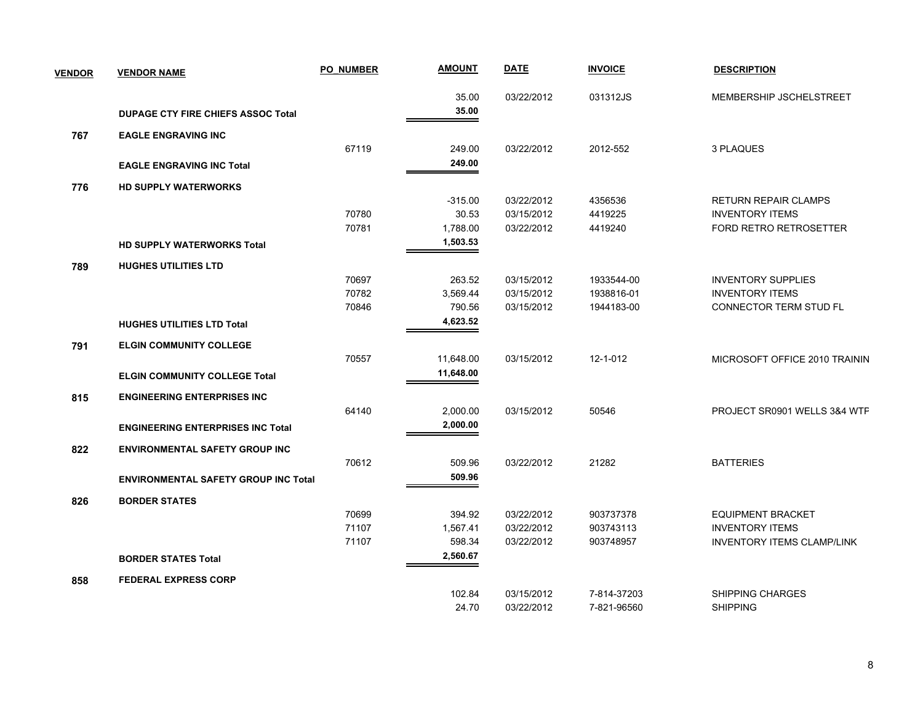| <b>VENDOR</b> | <b>VENDOR NAME</b>                          | <b>PO NUMBER</b> | <b>AMOUNT</b> | <b>DATE</b> | <b>INVOICE</b> | <b>DESCRIPTION</b>                |
|---------------|---------------------------------------------|------------------|---------------|-------------|----------------|-----------------------------------|
|               |                                             |                  | 35.00         | 03/22/2012  | 031312JS       | MEMBERSHIP JSCHELSTREET           |
|               | <b>DUPAGE CTY FIRE CHIEFS ASSOC Total</b>   |                  | 35.00         |             |                |                                   |
| 767           | <b>EAGLE ENGRAVING INC</b>                  |                  |               |             |                |                                   |
|               |                                             | 67119            | 249.00        | 03/22/2012  | 2012-552       | 3 PLAQUES                         |
|               | <b>EAGLE ENGRAVING INC Total</b>            |                  | 249.00        |             |                |                                   |
| 776           | <b>HD SUPPLY WATERWORKS</b>                 |                  |               |             |                |                                   |
|               |                                             |                  | $-315.00$     | 03/22/2012  | 4356536        | <b>RETURN REPAIR CLAMPS</b>       |
|               |                                             | 70780            | 30.53         | 03/15/2012  | 4419225        | <b>INVENTORY ITEMS</b>            |
|               |                                             | 70781            | 1,788.00      | 03/22/2012  | 4419240        | <b>FORD RETRO RETROSETTER</b>     |
|               | <b>HD SUPPLY WATERWORKS Total</b>           |                  | 1,503.53      |             |                |                                   |
| 789           | <b>HUGHES UTILITIES LTD</b>                 |                  |               |             |                |                                   |
|               |                                             | 70697            | 263.52        | 03/15/2012  | 1933544-00     | <b>INVENTORY SUPPLIES</b>         |
|               |                                             | 70782            | 3,569.44      | 03/15/2012  | 1938816-01     | <b>INVENTORY ITEMS</b>            |
|               |                                             | 70846            | 790.56        | 03/15/2012  | 1944183-00     | CONNECTOR TERM STUD FL            |
|               | <b>HUGHES UTILITIES LTD Total</b>           |                  | 4,623.52      |             |                |                                   |
| 791           | <b>ELGIN COMMUNITY COLLEGE</b>              |                  |               |             |                |                                   |
|               |                                             | 70557            | 11,648.00     | 03/15/2012  | 12-1-012       | MICROSOFT OFFICE 2010 TRAININ     |
|               | <b>ELGIN COMMUNITY COLLEGE Total</b>        |                  | 11,648.00     |             |                |                                   |
| 815           | <b>ENGINEERING ENTERPRISES INC.</b>         |                  |               |             |                |                                   |
|               |                                             | 64140            | 2,000.00      | 03/15/2012  | 50546          | PROJECT SR0901 WELLS 3&4 WTF      |
|               | <b>ENGINEERING ENTERPRISES INC Total</b>    |                  | 2,000.00      |             |                |                                   |
| 822           | <b>ENVIRONMENTAL SAFETY GROUP INC</b>       |                  |               |             |                |                                   |
|               |                                             | 70612            | 509.96        | 03/22/2012  | 21282          | <b>BATTERIES</b>                  |
|               | <b>ENVIRONMENTAL SAFETY GROUP INC Total</b> |                  | 509.96        |             |                |                                   |
| 826           | <b>BORDER STATES</b>                        |                  |               |             |                |                                   |
|               |                                             | 70699            | 394.92        | 03/22/2012  | 903737378      | <b>EQUIPMENT BRACKET</b>          |
|               |                                             | 71107            | 1,567.41      | 03/22/2012  | 903743113      | <b>INVENTORY ITEMS</b>            |
|               |                                             | 71107            | 598.34        | 03/22/2012  | 903748957      | <b>INVENTORY ITEMS CLAMP/LINK</b> |
|               | <b>BORDER STATES Total</b>                  |                  | 2,560.67      |             |                |                                   |
| 858           | <b>FEDERAL EXPRESS CORP</b>                 |                  |               |             |                |                                   |
|               |                                             |                  | 102.84        | 03/15/2012  | 7-814-37203    | <b>SHIPPING CHARGES</b>           |
|               |                                             |                  | 24.70         | 03/22/2012  | 7-821-96560    | <b>SHIPPING</b>                   |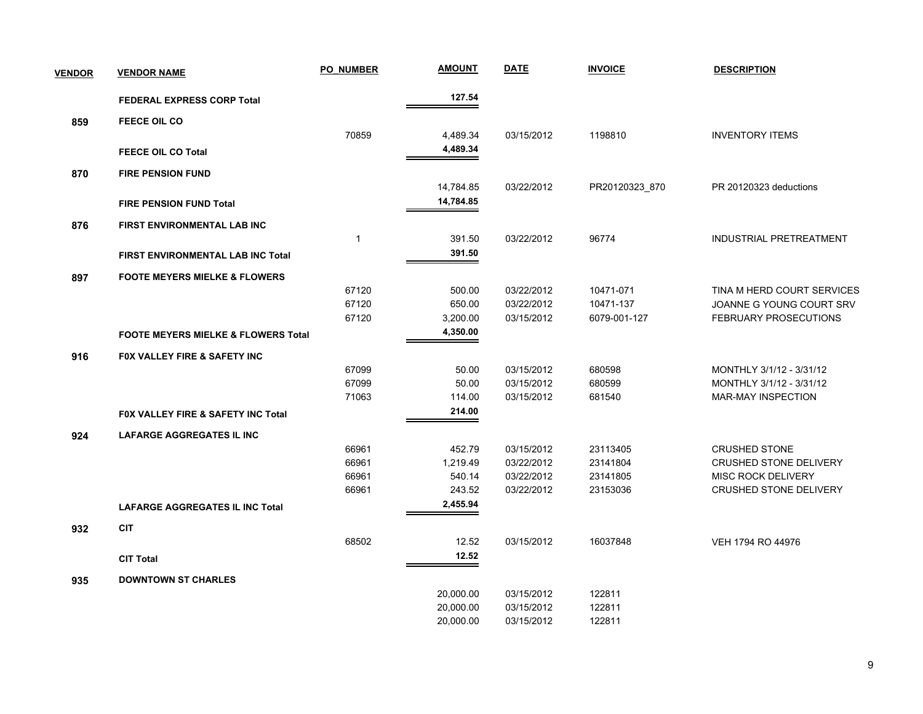| <b>VENDOR</b> | <b>VENDOR NAME</b>                             | <b>PO NUMBER</b> | <b>AMOUNT</b> | <b>DATE</b> | <b>INVOICE</b> | <b>DESCRIPTION</b>            |
|---------------|------------------------------------------------|------------------|---------------|-------------|----------------|-------------------------------|
|               | <b>FEDERAL EXPRESS CORP Total</b>              |                  | 127.54        |             |                |                               |
| 859           | <b>FEECE OIL CO</b>                            |                  |               |             |                |                               |
|               |                                                | 70859            | 4,489.34      | 03/15/2012  | 1198810        | <b>INVENTORY ITEMS</b>        |
|               | <b>FEECE OIL CO Total</b>                      |                  | 4,489.34      |             |                |                               |
|               |                                                |                  |               |             |                |                               |
| 870           | <b>FIRE PENSION FUND</b>                       |                  | 14,784.85     | 03/22/2012  | PR20120323_870 | PR 20120323 deductions        |
|               | <b>FIRE PENSION FUND Total</b>                 |                  | 14,784.85     |             |                |                               |
|               |                                                |                  |               |             |                |                               |
| 876           | FIRST ENVIRONMENTAL LAB INC                    |                  |               |             |                |                               |
|               |                                                | $\overline{1}$   | 391.50        | 03/22/2012  | 96774          | INDUSTRIAL PRETREATMENT       |
|               | FIRST ENVIRONMENTAL LAB INC Total              |                  | 391.50        |             |                |                               |
| 897           | <b>FOOTE MEYERS MIELKE &amp; FLOWERS</b>       |                  |               |             |                |                               |
|               |                                                | 67120            | 500.00        | 03/22/2012  | 10471-071      | TINA M HERD COURT SERVICES    |
|               |                                                | 67120            | 650.00        | 03/22/2012  | 10471-137      | JOANNE G YOUNG COURT SRV      |
|               |                                                | 67120            | 3,200.00      | 03/15/2012  | 6079-001-127   | FEBRUARY PROSECUTIONS         |
|               | <b>FOOTE MEYERS MIELKE &amp; FLOWERS Total</b> |                  | 4,350.00      |             |                |                               |
| 916           | FOX VALLEY FIRE & SAFETY INC                   |                  |               |             |                |                               |
|               |                                                | 67099            | 50.00         | 03/15/2012  | 680598         | MONTHLY 3/1/12 - 3/31/12      |
|               |                                                | 67099            | 50.00         | 03/15/2012  | 680599         | MONTHLY 3/1/12 - 3/31/12      |
|               |                                                | 71063            | 114.00        | 03/15/2012  | 681540         | MAR-MAY INSPECTION            |
|               | FOX VALLEY FIRE & SAFETY INC Total             |                  | 214.00        |             |                |                               |
| 924           | <b>LAFARGE AGGREGATES IL INC</b>               |                  |               |             |                |                               |
|               |                                                | 66961            | 452.79        | 03/15/2012  | 23113405       | <b>CRUSHED STONE</b>          |
|               |                                                | 66961            | 1,219.49      | 03/22/2012  | 23141804       | CRUSHED STONE DELIVERY        |
|               |                                                | 66961            | 540.14        | 03/22/2012  | 23141805       | <b>MISC ROCK DELIVERY</b>     |
|               |                                                | 66961            | 243.52        | 03/22/2012  | 23153036       | <b>CRUSHED STONE DELIVERY</b> |
|               | <b>LAFARGE AGGREGATES IL INC Total</b>         |                  | 2,455.94      |             |                |                               |
| 932           | <b>CIT</b>                                     |                  |               |             |                |                               |
|               |                                                | 68502            | 12.52         | 03/15/2012  | 16037848       | VEH 1794 RO 44976             |
|               | <b>CIT Total</b>                               |                  | 12.52         |             |                |                               |
|               |                                                |                  |               |             |                |                               |
| 935           | <b>DOWNTOWN ST CHARLES</b>                     |                  | 20,000.00     | 03/15/2012  | 122811         |                               |
|               |                                                |                  | 20,000.00     | 03/15/2012  | 122811         |                               |
|               |                                                |                  | 20,000.00     | 03/15/2012  | 122811         |                               |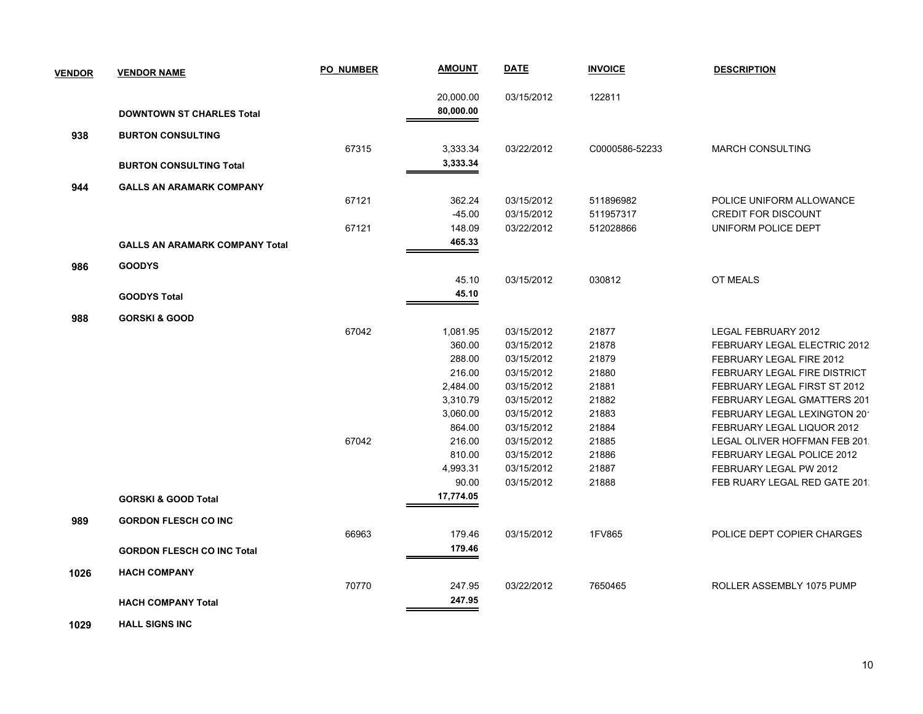| <b>VENDOR</b> | <b>VENDOR NAME</b>                    | <b>PO NUMBER</b> | <b>AMOUNT</b> | <b>DATE</b> | <b>INVOICE</b> | <b>DESCRIPTION</b>                  |
|---------------|---------------------------------------|------------------|---------------|-------------|----------------|-------------------------------------|
|               |                                       |                  | 20,000.00     | 03/15/2012  | 122811         |                                     |
|               | <b>DOWNTOWN ST CHARLES Total</b>      |                  | 80,000.00     |             |                |                                     |
| 938           | <b>BURTON CONSULTING</b>              |                  |               |             |                |                                     |
|               |                                       | 67315            | 3,333.34      | 03/22/2012  | C0000586-52233 | <b>MARCH CONSULTING</b>             |
|               | <b>BURTON CONSULTING Total</b>        |                  | 3,333.34      |             |                |                                     |
| 944           | <b>GALLS AN ARAMARK COMPANY</b>       |                  |               |             |                |                                     |
|               |                                       | 67121            | 362.24        | 03/15/2012  | 511896982      | POLICE UNIFORM ALLOWANCE            |
|               |                                       |                  | $-45.00$      | 03/15/2012  | 511957317      | <b>CREDIT FOR DISCOUNT</b>          |
|               |                                       | 67121            | 148.09        | 03/22/2012  | 512028866      | UNIFORM POLICE DEPT                 |
|               | <b>GALLS AN ARAMARK COMPANY Total</b> |                  | 465.33        |             |                |                                     |
| 986           | <b>GOODYS</b>                         |                  |               |             |                |                                     |
|               |                                       |                  | 45.10         | 03/15/2012  | 030812         | OT MEALS                            |
|               | <b>GOODYS Total</b>                   |                  | 45.10         |             |                |                                     |
| 988           | <b>GORSKI &amp; GOOD</b>              |                  |               |             |                |                                     |
|               |                                       | 67042            | 1,081.95      | 03/15/2012  | 21877          | LEGAL FEBRUARY 2012                 |
|               |                                       |                  | 360.00        | 03/15/2012  | 21878          | FEBRUARY LEGAL ELECTRIC 2012        |
|               |                                       |                  | 288.00        | 03/15/2012  | 21879          | FEBRUARY LEGAL FIRE 2012            |
|               |                                       |                  | 216.00        | 03/15/2012  | 21880          | <b>FEBRUARY LEGAL FIRE DISTRICT</b> |
|               |                                       |                  | 2,484.00      | 03/15/2012  | 21881          | FEBRUARY LEGAL FIRST ST 2012        |
|               |                                       |                  | 3,310.79      | 03/15/2012  | 21882          | FEBRUARY LEGAL GMATTERS 201         |
|               |                                       |                  | 3,060.00      | 03/15/2012  | 21883          | FEBRUARY LEGAL LEXINGTON 20         |
|               |                                       |                  | 864.00        | 03/15/2012  | 21884          | FEBRUARY LEGAL LIQUOR 2012          |
|               |                                       | 67042            | 216.00        | 03/15/2012  | 21885          | LEGAL OLIVER HOFFMAN FEB 201.       |
|               |                                       |                  | 810.00        | 03/15/2012  | 21886          | FEBRUARY LEGAL POLICE 2012          |
|               |                                       |                  | 4,993.31      | 03/15/2012  | 21887          | FEBRUARY LEGAL PW 2012              |
|               |                                       |                  | 90.00         | 03/15/2012  | 21888          | FEB RUARY LEGAL RED GATE 201.       |
|               | <b>GORSKI &amp; GOOD Total</b>        |                  | 17,774.05     |             |                |                                     |
| 989           | <b>GORDON FLESCH CO INC</b>           |                  |               |             |                |                                     |
|               |                                       | 66963            | 179.46        | 03/15/2012  | 1FV865         | POLICE DEPT COPIER CHARGES          |
|               | <b>GORDON FLESCH CO INC Total</b>     |                  | 179.46        |             |                |                                     |
| 1026          | <b>HACH COMPANY</b>                   |                  |               |             |                |                                     |
|               |                                       | 70770            | 247.95        | 03/22/2012  | 7650465        | ROLLER ASSEMBLY 1075 PUMP           |
|               | <b>HACH COMPANY Total</b>             |                  | 247.95        |             |                |                                     |
|               |                                       |                  |               |             |                |                                     |

 **1029 HALL SIGNS INC**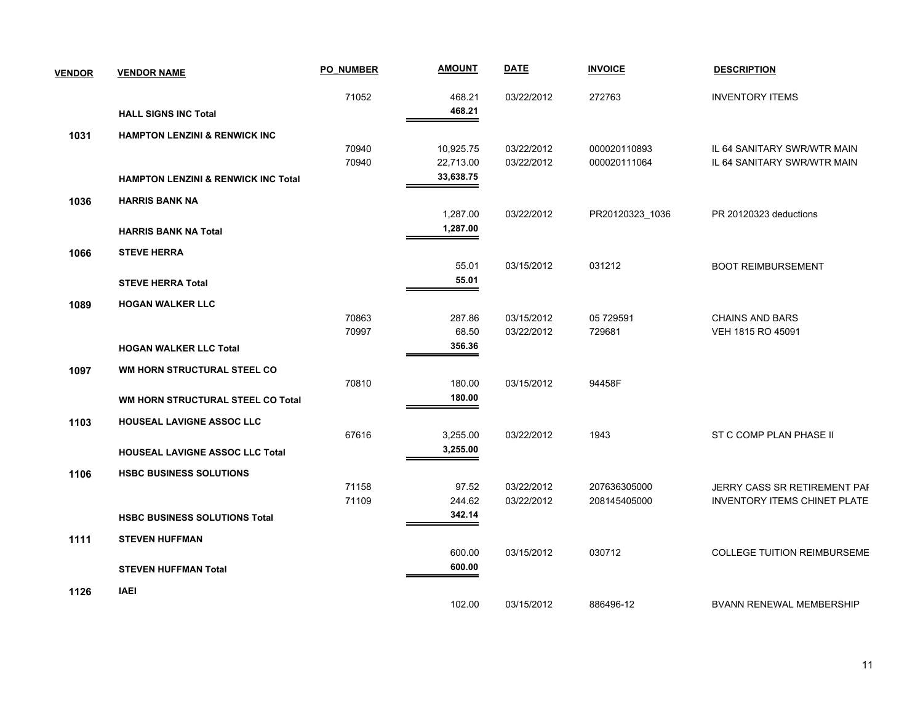| <b>VENDOR</b> | <b>VENDOR NAME</b>                             | <b>PO NUMBER</b> | <b>AMOUNT</b> | <b>DATE</b> | <b>INVOICE</b>  | <b>DESCRIPTION</b>                  |
|---------------|------------------------------------------------|------------------|---------------|-------------|-----------------|-------------------------------------|
|               |                                                | 71052            | 468.21        | 03/22/2012  | 272763          | <b>INVENTORY ITEMS</b>              |
|               | <b>HALL SIGNS INC Total</b>                    |                  | 468.21        |             |                 |                                     |
| 1031          | <b>HAMPTON LENZINI &amp; RENWICK INC</b>       |                  |               |             |                 |                                     |
|               |                                                | 70940            | 10,925.75     | 03/22/2012  | 000020110893    | IL 64 SANITARY SWR/WTR MAIN         |
|               |                                                | 70940            | 22,713.00     | 03/22/2012  | 000020111064    | IL 64 SANITARY SWR/WTR MAIN         |
|               | <b>HAMPTON LENZINI &amp; RENWICK INC Total</b> |                  | 33,638.75     |             |                 |                                     |
| 1036          | <b>HARRIS BANK NA</b>                          |                  |               |             |                 |                                     |
|               |                                                |                  | 1,287.00      | 03/22/2012  | PR20120323_1036 | PR 20120323 deductions              |
|               | <b>HARRIS BANK NA Total</b>                    |                  | 1,287.00      |             |                 |                                     |
| 1066          | <b>STEVE HERRA</b>                             |                  |               |             |                 |                                     |
|               |                                                |                  | 55.01         | 03/15/2012  | 031212          | <b>BOOT REIMBURSEMENT</b>           |
|               | <b>STEVE HERRA Total</b>                       |                  | 55.01         |             |                 |                                     |
| 1089          | <b>HOGAN WALKER LLC</b>                        |                  |               |             |                 |                                     |
|               |                                                | 70863            | 287.86        | 03/15/2012  | 05 729591       | <b>CHAINS AND BARS</b>              |
|               |                                                | 70997            | 68.50         | 03/22/2012  | 729681          | VEH 1815 RO 45091                   |
|               | <b>HOGAN WALKER LLC Total</b>                  |                  | 356.36        |             |                 |                                     |
| 1097          | WM HORN STRUCTURAL STEEL CO                    |                  |               |             |                 |                                     |
|               |                                                | 70810            | 180.00        | 03/15/2012  | 94458F          |                                     |
|               | WM HORN STRUCTURAL STEEL CO Total              |                  | 180.00        |             |                 |                                     |
| 1103          | <b>HOUSEAL LAVIGNE ASSOC LLC</b>               |                  |               |             |                 |                                     |
|               |                                                | 67616            | 3,255.00      | 03/22/2012  | 1943            | ST C COMP PLAN PHASE II             |
|               | <b>HOUSEAL LAVIGNE ASSOC LLC Total</b>         |                  | 3,255.00      |             |                 |                                     |
| 1106          | <b>HSBC BUSINESS SOLUTIONS</b>                 |                  |               |             |                 |                                     |
|               |                                                | 71158            | 97.52         | 03/22/2012  | 207636305000    | JERRY CASS SR RETIREMENT PAF        |
|               |                                                | 71109            | 244.62        | 03/22/2012  | 208145405000    | <b>INVENTORY ITEMS CHINET PLATE</b> |
|               | <b>HSBC BUSINESS SOLUTIONS Total</b>           |                  | 342.14        |             |                 |                                     |
| 1111          | <b>STEVEN HUFFMAN</b>                          |                  |               |             |                 |                                     |
|               |                                                |                  | 600.00        | 03/15/2012  | 030712          | <b>COLLEGE TUITION REIMBURSEME</b>  |
|               | <b>STEVEN HUFFMAN Total</b>                    |                  | 600.00        |             |                 |                                     |
| 1126          | <b>IAEI</b>                                    |                  |               |             |                 |                                     |
|               |                                                |                  | 102.00        | 03/15/2012  | 886496-12       | <b>BVANN RENEWAL MEMBERSHIP</b>     |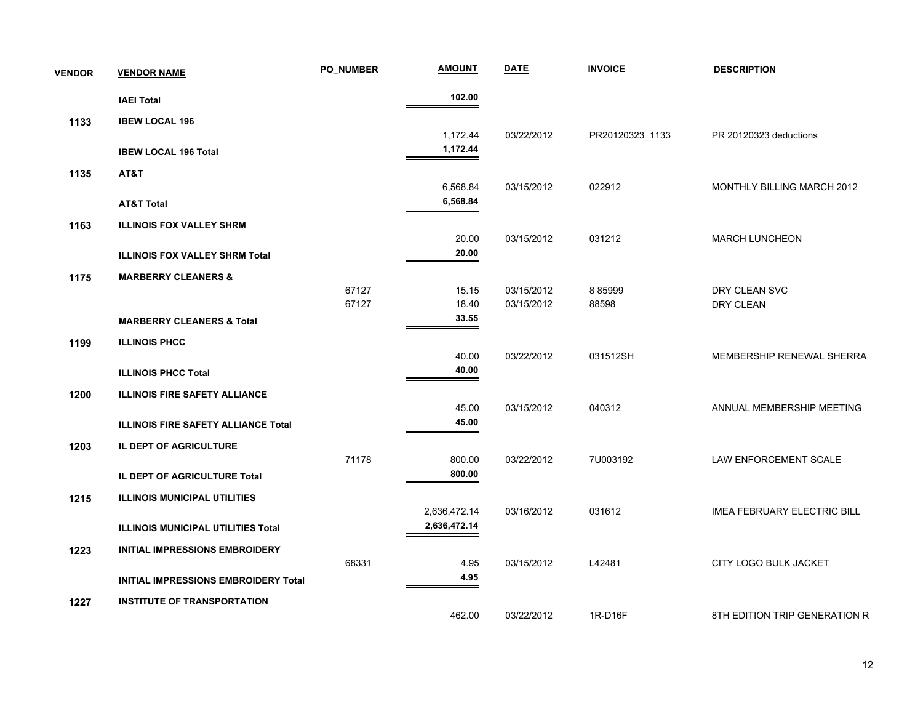| <b>VENDOR</b> | <b>VENDOR NAME</b>                         | <b>PO NUMBER</b> | <b>AMOUNT</b>                | <b>DATE</b>              | <b>INVOICE</b>  | <b>DESCRIPTION</b>                 |
|---------------|--------------------------------------------|------------------|------------------------------|--------------------------|-----------------|------------------------------------|
|               | <b>IAEI Total</b>                          |                  | 102.00                       |                          |                 |                                    |
| 1133          | <b>IBEW LOCAL 196</b>                      |                  |                              |                          |                 |                                    |
|               |                                            |                  | 1,172.44                     | 03/22/2012               | PR20120323_1133 | PR 20120323 deductions             |
|               | <b>IBEW LOCAL 196 Total</b>                |                  | 1,172.44                     |                          |                 |                                    |
| 1135          | AT&T                                       |                  |                              |                          |                 |                                    |
|               |                                            |                  | 6,568.84                     | 03/15/2012               | 022912          | MONTHLY BILLING MARCH 2012         |
|               | <b>AT&amp;T Total</b>                      |                  | 6,568.84                     |                          |                 |                                    |
| 1163          | <b>ILLINOIS FOX VALLEY SHRM</b>            |                  |                              |                          |                 |                                    |
|               |                                            |                  | 20.00<br>20.00               | 03/15/2012               | 031212          | <b>MARCH LUNCHEON</b>              |
|               | <b>ILLINOIS FOX VALLEY SHRM Total</b>      |                  |                              |                          |                 |                                    |
| 1175          | <b>MARBERRY CLEANERS &amp;</b>             |                  |                              |                          |                 |                                    |
|               |                                            | 67127<br>67127   | 15.15<br>18.40               | 03/15/2012<br>03/15/2012 | 885999<br>88598 | DRY CLEAN SVC<br>DRY CLEAN         |
|               | <b>MARBERRY CLEANERS &amp; Total</b>       |                  | 33.55                        |                          |                 |                                    |
| 1199          | <b>ILLINOIS PHCC</b>                       |                  |                              |                          |                 |                                    |
|               |                                            |                  | 40.00                        | 03/22/2012               | 031512SH        | MEMBERSHIP RENEWAL SHERRA          |
|               | <b>ILLINOIS PHCC Total</b>                 |                  | 40.00                        |                          |                 |                                    |
| 1200          | <b>ILLINOIS FIRE SAFETY ALLIANCE</b>       |                  |                              |                          |                 |                                    |
|               |                                            |                  | 45.00                        | 03/15/2012               | 040312          | ANNUAL MEMBERSHIP MEETING          |
|               | <b>ILLINOIS FIRE SAFETY ALLIANCE Total</b> |                  | 45.00                        |                          |                 |                                    |
| 1203          | IL DEPT OF AGRICULTURE                     |                  |                              |                          |                 |                                    |
|               |                                            | 71178            | 800.00                       | 03/22/2012               | 7U003192        | LAW ENFORCEMENT SCALE              |
|               | IL DEPT OF AGRICULTURE Total               |                  | 800.00                       |                          |                 |                                    |
| 1215          | <b>ILLINOIS MUNICIPAL UTILITIES</b>        |                  |                              |                          |                 |                                    |
|               |                                            |                  | 2,636,472.14<br>2,636,472.14 | 03/16/2012               | 031612          | <b>IMEA FEBRUARY ELECTRIC BILL</b> |
|               | <b>ILLINOIS MUNICIPAL UTILITIES Total</b>  |                  |                              |                          |                 |                                    |
| 1223          | INITIAL IMPRESSIONS EMBROIDERY             |                  |                              |                          |                 |                                    |
|               |                                            | 68331            | 4.95<br>4.95                 | 03/15/2012               | L42481          | CITY LOGO BULK JACKET              |
|               | INITIAL IMPRESSIONS EMBROIDERY Total       |                  |                              |                          |                 |                                    |
| 1227          | <b>INSTITUTE OF TRANSPORTATION</b>         |                  |                              |                          |                 |                                    |
|               |                                            |                  | 462.00                       | 03/22/2012               | 1R-D16F         | 8TH EDITION TRIP GENERATION R      |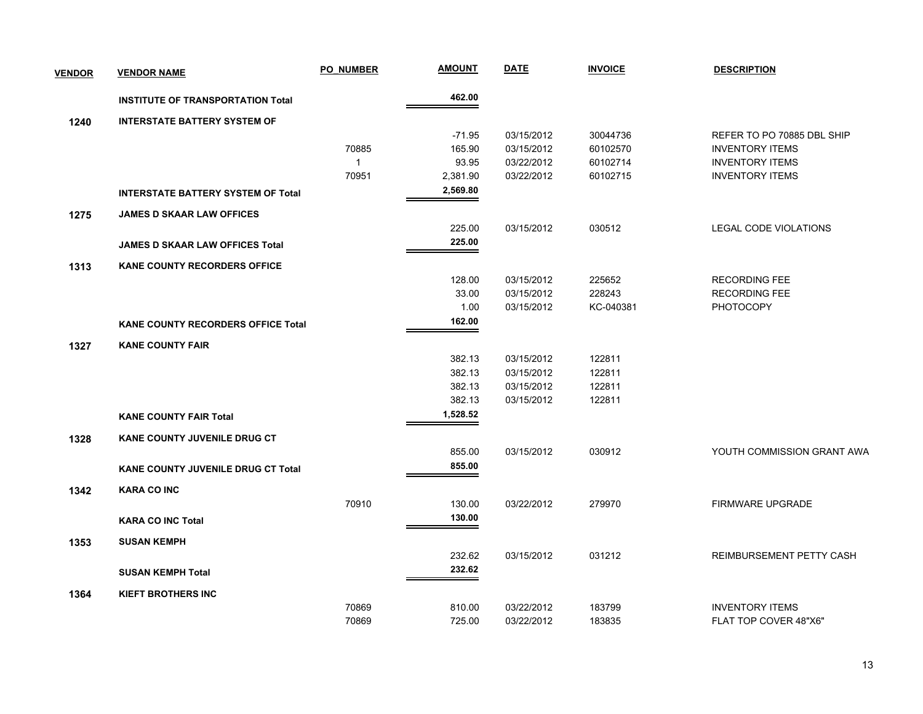| <b>VENDOR</b> | <b>VENDOR NAME</b>                        | <b>PO NUMBER</b> | <u>AMOUNT</u> | <b>DATE</b> | <b>INVOICE</b> | <b>DESCRIPTION</b>           |
|---------------|-------------------------------------------|------------------|---------------|-------------|----------------|------------------------------|
|               | <b>INSTITUTE OF TRANSPORTATION Total</b>  |                  | 462.00        |             |                |                              |
| 1240          | <b>INTERSTATE BATTERY SYSTEM OF</b>       |                  |               |             |                |                              |
|               |                                           |                  | $-71.95$      | 03/15/2012  | 30044736       | REFER TO PO 70885 DBL SHIP   |
|               |                                           | 70885            | 165.90        | 03/15/2012  | 60102570       | <b>INVENTORY ITEMS</b>       |
|               |                                           | $\mathbf{1}$     | 93.95         | 03/22/2012  | 60102714       | <b>INVENTORY ITEMS</b>       |
|               |                                           | 70951            | 2,381.90      | 03/22/2012  | 60102715       | <b>INVENTORY ITEMS</b>       |
|               | <b>INTERSTATE BATTERY SYSTEM OF Total</b> |                  | 2,569.80      |             |                |                              |
| 1275          | <b>JAMES D SKAAR LAW OFFICES</b>          |                  |               |             |                |                              |
|               |                                           |                  | 225.00        | 03/15/2012  | 030512         | <b>LEGAL CODE VIOLATIONS</b> |
|               | <b>JAMES D SKAAR LAW OFFICES Total</b>    |                  | 225.00        |             |                |                              |
| 1313          | <b>KANE COUNTY RECORDERS OFFICE</b>       |                  |               |             |                |                              |
|               |                                           |                  | 128.00        | 03/15/2012  | 225652         | <b>RECORDING FEE</b>         |
|               |                                           |                  | 33.00         | 03/15/2012  | 228243         | <b>RECORDING FEE</b>         |
|               |                                           |                  | 1.00          | 03/15/2012  | KC-040381      | <b>PHOTOCOPY</b>             |
|               | <b>KANE COUNTY RECORDERS OFFICE Total</b> |                  | 162.00        |             |                |                              |
| 1327          | <b>KANE COUNTY FAIR</b>                   |                  |               |             |                |                              |
|               |                                           |                  | 382.13        | 03/15/2012  | 122811         |                              |
|               |                                           |                  | 382.13        | 03/15/2012  | 122811         |                              |
|               |                                           |                  | 382.13        | 03/15/2012  | 122811         |                              |
|               |                                           |                  | 382.13        | 03/15/2012  | 122811         |                              |
|               | <b>KANE COUNTY FAIR Total</b>             |                  | 1,528.52      |             |                |                              |
| 1328          | <b>KANE COUNTY JUVENILE DRUG CT</b>       |                  |               |             |                |                              |
|               |                                           |                  | 855.00        | 03/15/2012  | 030912         | YOUTH COMMISSION GRANT AWA   |
|               | <b>KANE COUNTY JUVENILE DRUG CT Total</b> |                  | 855.00        |             |                |                              |
| 1342          | <b>KARA CO INC</b>                        |                  |               |             |                |                              |
|               |                                           | 70910            | 130.00        | 03/22/2012  | 279970         | <b>FIRMWARE UPGRADE</b>      |
|               | <b>KARA CO INC Total</b>                  |                  | 130.00        |             |                |                              |
| 1353          | <b>SUSAN KEMPH</b>                        |                  |               |             |                |                              |
|               |                                           |                  | 232.62        | 03/15/2012  | 031212         | REIMBURSEMENT PETTY CASH     |
|               | <b>SUSAN KEMPH Total</b>                  |                  | 232.62        |             |                |                              |
| 1364          | <b>KIEFT BROTHERS INC</b>                 |                  |               |             |                |                              |
|               |                                           | 70869            | 810.00        | 03/22/2012  | 183799         | <b>INVENTORY ITEMS</b>       |
|               |                                           | 70869            | 725.00        | 03/22/2012  | 183835         | FLAT TOP COVER 48"X6"        |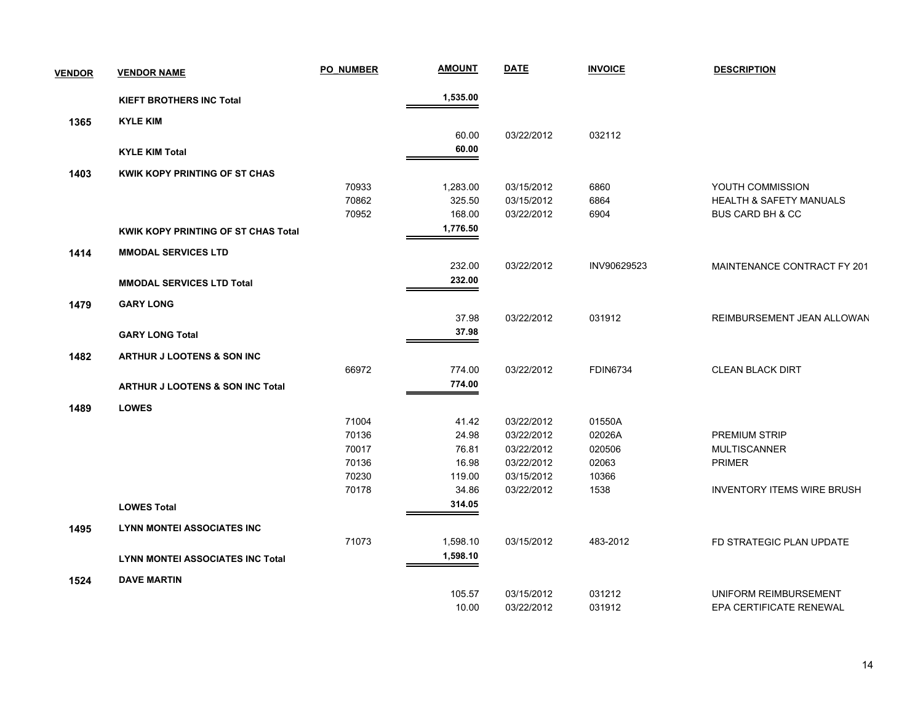| <b>VENDOR</b> | <b>VENDOR NAME</b>                          | <b>PO NUMBER</b> | <b>AMOUNT</b> | <b>DATE</b> | <b>INVOICE</b>  | <b>DESCRIPTION</b>                 |
|---------------|---------------------------------------------|------------------|---------------|-------------|-----------------|------------------------------------|
|               | <b>KIEFT BROTHERS INC Total</b>             |                  | 1,535.00      |             |                 |                                    |
| 1365          | <b>KYLE KIM</b>                             |                  |               |             |                 |                                    |
|               |                                             |                  | 60.00         | 03/22/2012  | 032112          |                                    |
|               | <b>KYLE KIM Total</b>                       |                  | 60.00         |             |                 |                                    |
| 1403          | <b>KWIK KOPY PRINTING OF ST CHAS</b>        |                  |               |             |                 |                                    |
|               |                                             | 70933            | 1,283.00      | 03/15/2012  | 6860            | YOUTH COMMISSION                   |
|               |                                             | 70862            | 325.50        | 03/15/2012  | 6864            | <b>HEALTH &amp; SAFETY MANUALS</b> |
|               |                                             | 70952            | 168.00        | 03/22/2012  | 6904            | <b>BUS CARD BH &amp; CC</b>        |
|               | KWIK KOPY PRINTING OF ST CHAS Total         |                  | 1,776.50      |             |                 |                                    |
| 1414          | <b>MMODAL SERVICES LTD</b>                  |                  |               |             |                 |                                    |
|               |                                             |                  | 232.00        | 03/22/2012  | INV90629523     | MAINTENANCE CONTRACT FY 201        |
|               | <b>MMODAL SERVICES LTD Total</b>            |                  | 232.00        |             |                 |                                    |
| 1479          | <b>GARY LONG</b>                            |                  |               |             |                 |                                    |
|               |                                             |                  | 37.98         | 03/22/2012  | 031912          | REIMBURSEMENT JEAN ALLOWAN         |
|               | <b>GARY LONG Total</b>                      |                  | 37.98         |             |                 |                                    |
|               |                                             |                  |               |             |                 |                                    |
| 1482          | ARTHUR J LOOTENS & SON INC                  |                  |               |             |                 |                                    |
|               |                                             | 66972            | 774.00        | 03/22/2012  | <b>FDIN6734</b> | <b>CLEAN BLACK DIRT</b>            |
|               | <b>ARTHUR J LOOTENS &amp; SON INC Total</b> |                  | 774.00        |             |                 |                                    |
| 1489          | <b>LOWES</b>                                |                  |               |             |                 |                                    |
|               |                                             | 71004            | 41.42         | 03/22/2012  | 01550A          |                                    |
|               |                                             | 70136            | 24.98         | 03/22/2012  | 02026A          | PREMIUM STRIP                      |
|               |                                             | 70017            | 76.81         | 03/22/2012  | 020506          | <b>MULTISCANNER</b>                |
|               |                                             | 70136            | 16.98         | 03/22/2012  | 02063           | PRIMER                             |
|               |                                             | 70230            | 119.00        | 03/15/2012  | 10366           |                                    |
|               |                                             | 70178            | 34.86         | 03/22/2012  | 1538            | <b>INVENTORY ITEMS WIRE BRUSH</b>  |
|               | <b>LOWES Total</b>                          |                  | 314.05        |             |                 |                                    |
| 1495          | <b>LYNN MONTEI ASSOCIATES INC</b>           |                  |               |             |                 |                                    |
|               |                                             | 71073            | 1,598.10      | 03/15/2012  | 483-2012        | FD STRATEGIC PLAN UPDATE           |
|               | <b>LYNN MONTEI ASSOCIATES INC Total</b>     |                  | 1,598.10      |             |                 |                                    |
| 1524          | <b>DAVE MARTIN</b>                          |                  |               |             |                 |                                    |
|               |                                             |                  | 105.57        | 03/15/2012  | 031212          | UNIFORM REIMBURSEMENT              |
|               |                                             |                  | 10.00         | 03/22/2012  | 031912          | EPA CERTIFICATE RENEWAL            |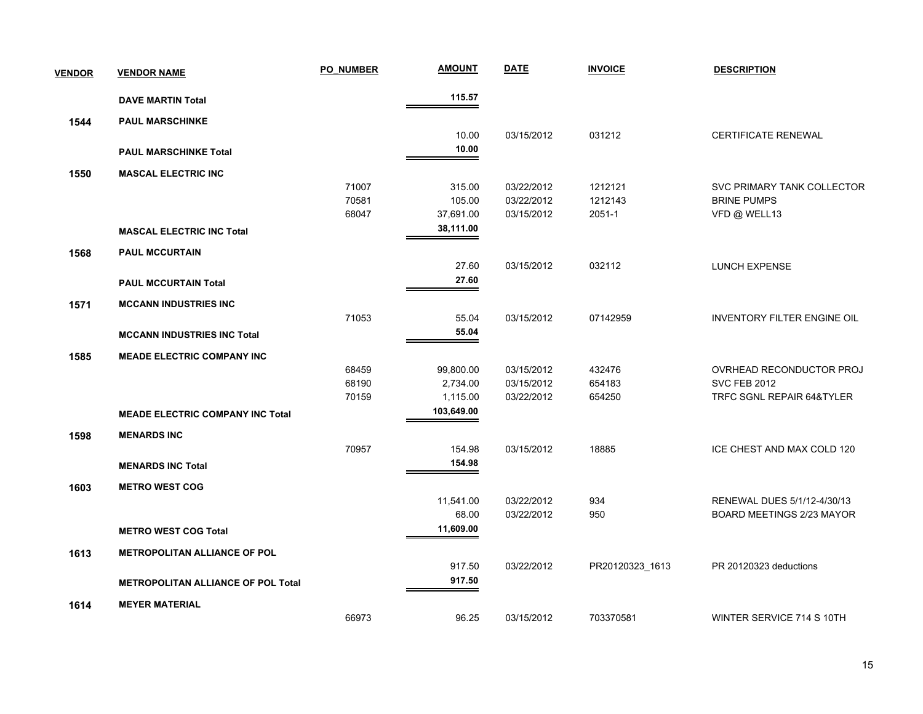| <b>VENDOR</b> | <b>VENDOR NAME</b>                        | <b>PO NUMBER</b> | <b>AMOUNT</b> | <b>DATE</b> | <b>INVOICE</b>  | <b>DESCRIPTION</b>          |
|---------------|-------------------------------------------|------------------|---------------|-------------|-----------------|-----------------------------|
|               | <b>DAVE MARTIN Total</b>                  |                  | 115.57        |             |                 |                             |
| 1544          | <b>PAUL MARSCHINKE</b>                    |                  |               |             |                 |                             |
|               |                                           |                  | 10.00         | 03/15/2012  | 031212          | <b>CERTIFICATE RENEWAL</b>  |
|               | <b>PAUL MARSCHINKE Total</b>              |                  | 10.00         |             |                 |                             |
| 1550          | <b>MASCAL ELECTRIC INC</b>                |                  |               |             |                 |                             |
|               |                                           | 71007            | 315.00        | 03/22/2012  | 1212121         | SVC PRIMARY TANK COLLECTOR  |
|               |                                           | 70581            | 105.00        | 03/22/2012  | 1212143         | <b>BRINE PUMPS</b>          |
|               |                                           | 68047            | 37,691.00     | 03/15/2012  | 2051-1          | VFD @ WELL13                |
|               | <b>MASCAL ELECTRIC INC Total</b>          |                  | 38,111.00     |             |                 |                             |
| 1568          | <b>PAUL MCCURTAIN</b>                     |                  |               |             |                 |                             |
|               |                                           |                  | 27.60         | 03/15/2012  | 032112          | <b>LUNCH EXPENSE</b>        |
|               | <b>PAUL MCCURTAIN Total</b>               |                  | 27.60         |             |                 |                             |
| 1571          | <b>MCCANN INDUSTRIES INC</b>              |                  |               |             |                 |                             |
|               |                                           | 71053            | 55.04         | 03/15/2012  | 07142959        | INVENTORY FILTER ENGINE OIL |
|               | <b>MCCANN INDUSTRIES INC Total</b>        |                  | 55.04         |             |                 |                             |
| 1585          | <b>MEADE ELECTRIC COMPANY INC</b>         |                  |               |             |                 |                             |
|               |                                           | 68459            | 99,800.00     | 03/15/2012  | 432476          | OVRHEAD RECONDUCTOR PROJ    |
|               |                                           | 68190            | 2,734.00      | 03/15/2012  | 654183          | <b>SVC FEB 2012</b>         |
|               |                                           | 70159            | 1,115.00      | 03/22/2012  | 654250          | TRFC SGNL REPAIR 64&TYLER   |
|               | <b>MEADE ELECTRIC COMPANY INC Total</b>   |                  | 103,649.00    |             |                 |                             |
| 1598          | <b>MENARDS INC</b>                        |                  |               |             |                 |                             |
|               |                                           | 70957            | 154.98        | 03/15/2012  | 18885           | ICE CHEST AND MAX COLD 120  |
|               | <b>MENARDS INC Total</b>                  |                  | 154.98        |             |                 |                             |
| 1603          | <b>METRO WEST COG</b>                     |                  |               |             |                 |                             |
|               |                                           |                  | 11,541.00     | 03/22/2012  | 934             | RENEWAL DUES 5/1/12-4/30/13 |
|               |                                           |                  | 68.00         | 03/22/2012  | 950             | BOARD MEETINGS 2/23 MAYOR   |
|               | <b>METRO WEST COG Total</b>               |                  | 11,609.00     |             |                 |                             |
| 1613          | <b>METROPOLITAN ALLIANCE OF POL</b>       |                  |               |             |                 |                             |
|               |                                           |                  | 917.50        | 03/22/2012  | PR20120323_1613 | PR 20120323 deductions      |
|               | <b>METROPOLITAN ALLIANCE OF POL Total</b> |                  | 917.50        |             |                 |                             |
| 1614          | <b>MEYER MATERIAL</b>                     |                  |               |             |                 |                             |
|               |                                           | 66973            | 96.25         | 03/15/2012  | 703370581       | WINTER SERVICE 714 S 10TH   |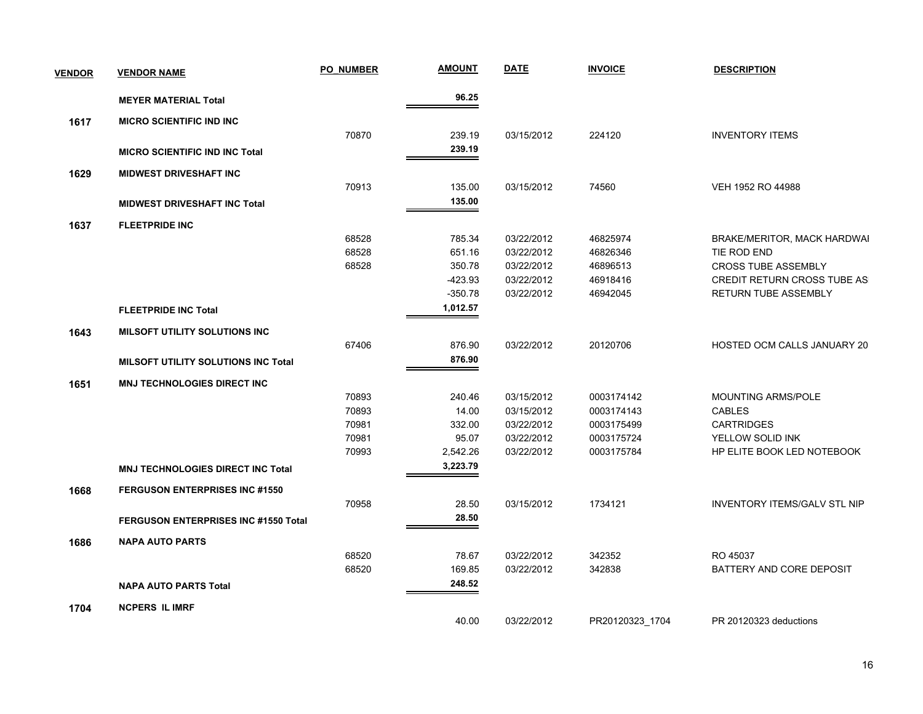| <b>VENDOR</b> | <b>VENDOR NAME</b>                         | PO NUMBER | <b>AMOUNT</b> | <b>DATE</b> | <b>INVOICE</b>  | <b>DESCRIPTION</b>                  |
|---------------|--------------------------------------------|-----------|---------------|-------------|-----------------|-------------------------------------|
|               | <b>MEYER MATERIAL Total</b>                |           | 96.25         |             |                 |                                     |
| 1617          | <b>MICRO SCIENTIFIC IND INC</b>            |           |               |             |                 |                                     |
|               |                                            | 70870     | 239.19        | 03/15/2012  | 224120          | <b>INVENTORY ITEMS</b>              |
|               | <b>MICRO SCIENTIFIC IND INC Total</b>      |           | 239.19        |             |                 |                                     |
| 1629          | <b>MIDWEST DRIVESHAFT INC</b>              |           |               |             |                 |                                     |
|               |                                            | 70913     | 135.00        | 03/15/2012  | 74560           | VEH 1952 RO 44988                   |
|               | <b>MIDWEST DRIVESHAFT INC Total</b>        |           | 135.00        |             |                 |                                     |
| 1637          | <b>FLEETPRIDE INC</b>                      |           |               |             |                 |                                     |
|               |                                            | 68528     | 785.34        | 03/22/2012  | 46825974        | BRAKE/MERITOR, MACK HARDWAI         |
|               |                                            | 68528     | 651.16        | 03/22/2012  | 46826346        | TIE ROD END                         |
|               |                                            | 68528     | 350.78        | 03/22/2012  | 46896513        | <b>CROSS TUBE ASSEMBLY</b>          |
|               |                                            |           | -423.93       | 03/22/2012  | 46918416        | <b>CREDIT RETURN CROSS TUBE AS</b>  |
|               |                                            |           | $-350.78$     | 03/22/2012  | 46942045        | RETURN TUBE ASSEMBLY                |
|               | <b>FLEETPRIDE INC Total</b>                |           | 1,012.57      |             |                 |                                     |
| 1643          | <b>MILSOFT UTILITY SOLUTIONS INC</b>       |           |               |             |                 |                                     |
|               |                                            | 67406     | 876.90        | 03/22/2012  | 20120706        | HOSTED OCM CALLS JANUARY 20         |
|               | <b>MILSOFT UTILITY SOLUTIONS INC Total</b> |           | 876.90        |             |                 |                                     |
| 1651          | <b>MNJ TECHNOLOGIES DIRECT INC</b>         |           |               |             |                 |                                     |
|               |                                            | 70893     | 240.46        | 03/15/2012  | 0003174142      | <b>MOUNTING ARMS/POLE</b>           |
|               |                                            | 70893     | 14.00         | 03/15/2012  | 0003174143      | <b>CABLES</b>                       |
|               |                                            | 70981     | 332.00        | 03/22/2012  | 0003175499      | <b>CARTRIDGES</b>                   |
|               |                                            | 70981     | 95.07         | 03/22/2012  | 0003175724      | YELLOW SOLID INK                    |
|               |                                            | 70993     | 2,542.26      | 03/22/2012  | 0003175784      | HP ELITE BOOK LED NOTEBOOK          |
|               | <b>MNJ TECHNOLOGIES DIRECT INC Total</b>   |           | 3,223.79      |             |                 |                                     |
| 1668          | <b>FERGUSON ENTERPRISES INC #1550</b>      |           |               |             |                 |                                     |
|               |                                            | 70958     | 28.50         | 03/15/2012  | 1734121         | <b>INVENTORY ITEMS/GALV STL NIP</b> |
|               | FERGUSON ENTERPRISES INC #1550 Total       |           | 28.50         |             |                 |                                     |
| 1686          | <b>NAPA AUTO PARTS</b>                     |           |               |             |                 |                                     |
|               |                                            | 68520     | 78.67         | 03/22/2012  | 342352          | RO 45037                            |
|               |                                            | 68520     | 169.85        | 03/22/2012  | 342838          | BATTERY AND CORE DEPOSIT            |
|               | <b>NAPA AUTO PARTS Total</b>               |           | 248.52        |             |                 |                                     |
| 1704          | <b>NCPERS IL IMRF</b>                      |           |               |             |                 |                                     |
|               |                                            |           | 40.00         | 03/22/2012  | PR20120323 1704 | PR 20120323 deductions              |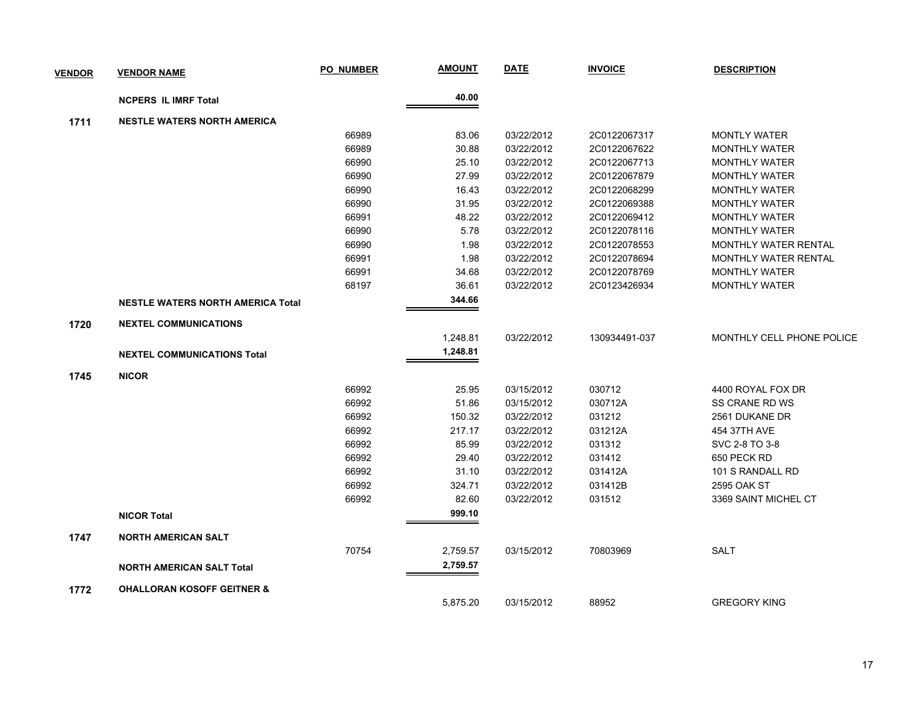| <b>VENDOR</b> | <b>VENDOR NAME</b>                       | <b>PO NUMBER</b> | <b>AMOUNT</b> | <b>DATE</b> | <b>INVOICE</b> | <b>DESCRIPTION</b>          |
|---------------|------------------------------------------|------------------|---------------|-------------|----------------|-----------------------------|
|               | <b>NCPERS IL IMRF Total</b>              |                  | 40.00         |             |                |                             |
| 1711          | <b>NESTLE WATERS NORTH AMERICA</b>       |                  |               |             |                |                             |
|               |                                          | 66989            | 83.06         | 03/22/2012  | 2C0122067317   | <b>MONTLY WATER</b>         |
|               |                                          | 66989            | 30.88         | 03/22/2012  | 2C0122067622   | <b>MONTHLY WATER</b>        |
|               |                                          | 66990            | 25.10         | 03/22/2012  | 2C0122067713   | <b>MONTHLY WATER</b>        |
|               |                                          | 66990            | 27.99         | 03/22/2012  | 2C0122067879   | <b>MONTHLY WATER</b>        |
|               |                                          | 66990            | 16.43         | 03/22/2012  | 2C0122068299   | <b>MONTHLY WATER</b>        |
|               |                                          | 66990            | 31.95         | 03/22/2012  | 2C0122069388   | <b>MONTHLY WATER</b>        |
|               |                                          | 66991            | 48.22         | 03/22/2012  | 2C0122069412   | <b>MONTHLY WATER</b>        |
|               |                                          | 66990            | 5.78          | 03/22/2012  | 2C0122078116   | <b>MONTHLY WATER</b>        |
|               |                                          | 66990            | 1.98          | 03/22/2012  | 2C0122078553   | <b>MONTHLY WATER RENTAL</b> |
|               |                                          | 66991            | 1.98          | 03/22/2012  | 2C0122078694   | <b>MONTHLY WATER RENTAL</b> |
|               |                                          | 66991            | 34.68         | 03/22/2012  | 2C0122078769   | <b>MONTHLY WATER</b>        |
|               |                                          | 68197            | 36.61         | 03/22/2012  | 2C0123426934   | <b>MONTHLY WATER</b>        |
|               | <b>NESTLE WATERS NORTH AMERICA Total</b> |                  | 344.66        |             |                |                             |
| 1720          | <b>NEXTEL COMMUNICATIONS</b>             |                  |               |             |                |                             |
|               |                                          |                  | 1,248.81      | 03/22/2012  | 130934491-037  | MONTHLY CELL PHONE POLICE   |
|               | <b>NEXTEL COMMUNICATIONS Total</b>       |                  | 1,248.81      |             |                |                             |
| 1745          | <b>NICOR</b>                             |                  |               |             |                |                             |
|               |                                          | 66992            | 25.95         | 03/15/2012  | 030712         | 4400 ROYAL FOX DR           |
|               |                                          | 66992            | 51.86         | 03/15/2012  | 030712A        | SS CRANE RD WS              |
|               |                                          | 66992            | 150.32        | 03/22/2012  | 031212         | 2561 DUKANE DR              |
|               |                                          | 66992            | 217.17        | 03/22/2012  | 031212A        | 454 37TH AVE                |
|               |                                          | 66992            | 85.99         | 03/22/2012  | 031312         | SVC 2-8 TO 3-8              |
|               |                                          | 66992            | 29.40         | 03/22/2012  | 031412         | 650 PECK RD                 |
|               |                                          | 66992            | 31.10         | 03/22/2012  | 031412A        | 101 S RANDALL RD            |
|               |                                          | 66992            | 324.71        | 03/22/2012  | 031412B        | 2595 OAK ST                 |
|               |                                          | 66992            | 82.60         | 03/22/2012  | 031512         | 3369 SAINT MICHEL CT        |
|               | <b>NICOR Total</b>                       |                  | 999.10        |             |                |                             |
| 1747          | <b>NORTH AMERICAN SALT</b>               |                  |               |             |                |                             |
|               |                                          | 70754            | 2,759.57      | 03/15/2012  | 70803969       | <b>SALT</b>                 |
|               | <b>NORTH AMERICAN SALT Total</b>         |                  | 2,759.57      |             |                |                             |
| 1772          | <b>OHALLORAN KOSOFF GEITNER &amp;</b>    |                  |               |             |                |                             |
|               |                                          |                  | 5,875.20      | 03/15/2012  | 88952          | <b>GREGORY KING</b>         |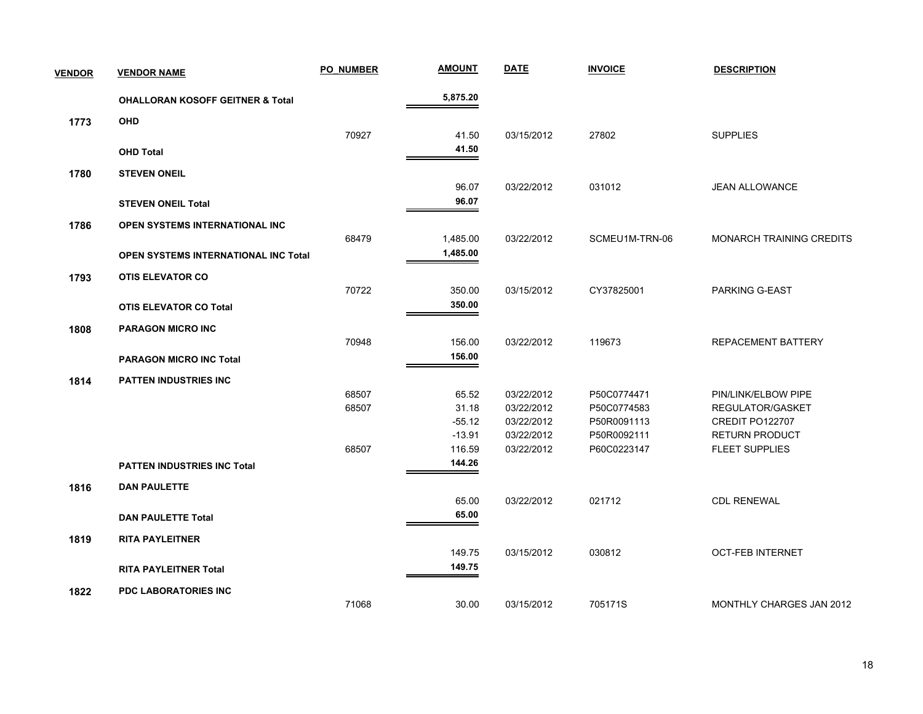| <b>VENDOR</b> | <b>VENDOR NAME</b>                          | <b>PO NUMBER</b> | <b>AMOUNT</b>        | <b>DATE</b> | <b>INVOICE</b> | <b>DESCRIPTION</b>              |
|---------------|---------------------------------------------|------------------|----------------------|-------------|----------------|---------------------------------|
|               | <b>OHALLORAN KOSOFF GEITNER &amp; Total</b> |                  | 5,875.20             |             |                |                                 |
| 1773          | <b>OHD</b>                                  |                  |                      |             |                |                                 |
|               |                                             | 70927            | 41.50                | 03/15/2012  | 27802          | <b>SUPPLIES</b>                 |
|               | <b>OHD Total</b>                            |                  | 41.50                |             |                |                                 |
| 1780          | <b>STEVEN ONEIL</b>                         |                  |                      |             |                |                                 |
|               |                                             |                  | 96.07                | 03/22/2012  | 031012         | <b>JEAN ALLOWANCE</b>           |
|               | <b>STEVEN ONEIL Total</b>                   |                  | 96.07                |             |                |                                 |
|               |                                             |                  |                      |             |                |                                 |
| 1786          | OPEN SYSTEMS INTERNATIONAL INC              | 68479            |                      | 03/22/2012  | SCMEU1M-TRN-06 | <b>MONARCH TRAINING CREDITS</b> |
|               |                                             |                  | 1,485.00<br>1,485.00 |             |                |                                 |
|               | <b>OPEN SYSTEMS INTERNATIONAL INC Total</b> |                  |                      |             |                |                                 |
| 1793          | <b>OTIS ELEVATOR CO</b>                     |                  |                      |             |                |                                 |
|               |                                             | 70722            | 350.00               | 03/15/2012  | CY37825001     | PARKING G-EAST                  |
|               | <b>OTIS ELEVATOR CO Total</b>               |                  | 350.00               |             |                |                                 |
| 1808          | <b>PARAGON MICRO INC</b>                    |                  |                      |             |                |                                 |
|               |                                             | 70948            | 156.00               | 03/22/2012  | 119673         | REPACEMENT BATTERY              |
|               | <b>PARAGON MICRO INC Total</b>              |                  | 156.00               |             |                |                                 |
| 1814          | <b>PATTEN INDUSTRIES INC</b>                |                  |                      |             |                |                                 |
|               |                                             | 68507            | 65.52                | 03/22/2012  | P50C0774471    | PIN/LINK/ELBOW PIPE             |
|               |                                             | 68507            | 31.18                | 03/22/2012  | P50C0774583    | REGULATOR/GASKET                |
|               |                                             |                  | $-55.12$             | 03/22/2012  | P50R0091113    | CREDIT PO122707                 |
|               |                                             |                  | $-13.91$             | 03/22/2012  | P50R0092111    | <b>RETURN PRODUCT</b>           |
|               |                                             | 68507            | 116.59               | 03/22/2012  | P60C0223147    | <b>FLEET SUPPLIES</b>           |
|               | <b>PATTEN INDUSTRIES INC Total</b>          |                  | 144.26               |             |                |                                 |
| 1816          | <b>DAN PAULETTE</b>                         |                  |                      |             |                |                                 |
|               |                                             |                  | 65.00                | 03/22/2012  | 021712         | <b>CDL RENEWAL</b>              |
|               | <b>DAN PAULETTE Total</b>                   |                  | 65.00                |             |                |                                 |
| 1819          | <b>RITA PAYLEITNER</b>                      |                  |                      |             |                |                                 |
|               |                                             |                  | 149.75               | 03/15/2012  | 030812         | <b>OCT-FEB INTERNET</b>         |
|               | <b>RITA PAYLEITNER Total</b>                |                  | 149.75               |             |                |                                 |
|               |                                             |                  |                      |             |                |                                 |
| 1822          | PDC LABORATORIES INC                        |                  |                      |             |                |                                 |
|               |                                             | 71068            | 30.00                | 03/15/2012  | 705171S        | MONTHLY CHARGES JAN 2012        |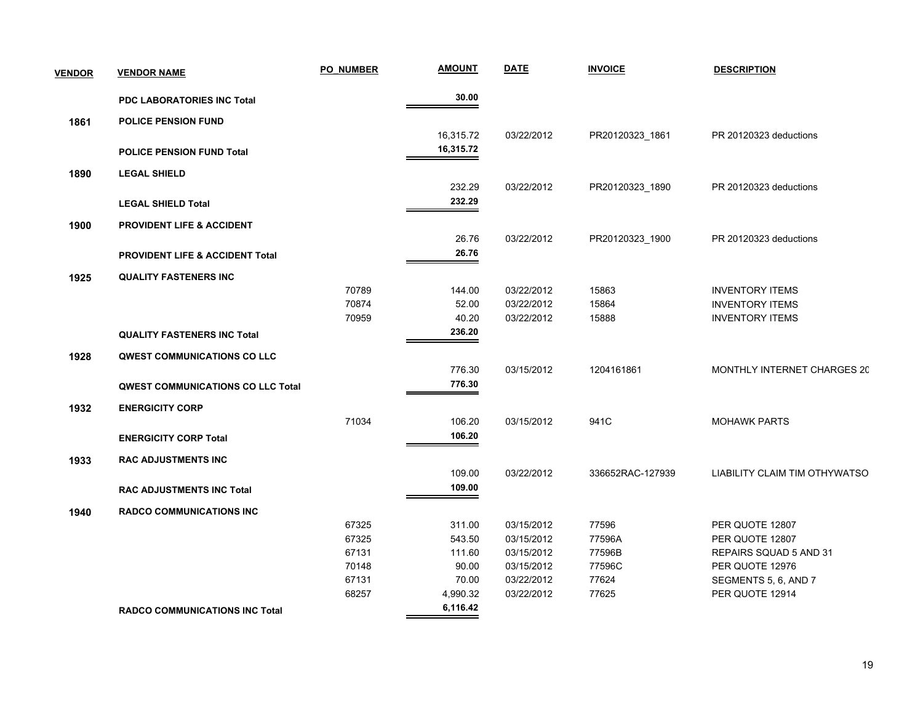| <b>PDC LABORATORIES INC Total</b><br><b>POLICE PENSION FUND</b><br>1861<br><b>POLICE PENSION FUND Total</b><br><b>LEGAL SHIELD</b><br>1890 | 30.00<br>16,315.72<br>16,315.72<br>232.29<br>232.29 | 03/22/2012<br>03/22/2012 | PR20120323_1861<br>PR20120323_1890 | PR 20120323 deductions<br>PR 20120323 deductions |
|--------------------------------------------------------------------------------------------------------------------------------------------|-----------------------------------------------------|--------------------------|------------------------------------|--------------------------------------------------|
|                                                                                                                                            |                                                     |                          |                                    |                                                  |
|                                                                                                                                            |                                                     |                          |                                    |                                                  |
|                                                                                                                                            |                                                     |                          |                                    |                                                  |
|                                                                                                                                            |                                                     |                          |                                    |                                                  |
|                                                                                                                                            |                                                     |                          |                                    |                                                  |
|                                                                                                                                            |                                                     |                          |                                    |                                                  |
| <b>LEGAL SHIELD Total</b>                                                                                                                  |                                                     |                          |                                    |                                                  |
| 1900<br><b>PROVIDENT LIFE &amp; ACCIDENT</b>                                                                                               |                                                     |                          |                                    |                                                  |
|                                                                                                                                            | 26.76                                               | 03/22/2012               | PR20120323_1900                    | PR 20120323 deductions                           |
| <b>PROVIDENT LIFE &amp; ACCIDENT Total</b>                                                                                                 | 26.76                                               |                          |                                    |                                                  |
| <b>QUALITY FASTENERS INC</b><br>1925                                                                                                       |                                                     |                          |                                    |                                                  |
| 70789                                                                                                                                      | 144.00                                              | 03/22/2012               | 15863                              | <b>INVENTORY ITEMS</b>                           |
| 70874                                                                                                                                      | 52.00                                               | 03/22/2012               | 15864                              | <b>INVENTORY ITEMS</b>                           |
| 70959                                                                                                                                      | 40.20                                               | 03/22/2012               | 15888                              | <b>INVENTORY ITEMS</b>                           |
| <b>QUALITY FASTENERS INC Total</b>                                                                                                         | 236.20                                              |                          |                                    |                                                  |
| <b>QWEST COMMUNICATIONS CO LLC</b><br>1928                                                                                                 |                                                     |                          |                                    |                                                  |
|                                                                                                                                            | 776.30                                              | 03/15/2012               | 1204161861                         | MONTHLY INTERNET CHARGES 20                      |
| <b>QWEST COMMUNICATIONS CO LLC Total</b>                                                                                                   | 776.30                                              |                          |                                    |                                                  |
| <b>ENERGICITY CORP</b><br>1932                                                                                                             |                                                     |                          |                                    |                                                  |
| 71034                                                                                                                                      | 106.20                                              | 03/15/2012               | 941C                               | <b>MOHAWK PARTS</b>                              |
| <b>ENERGICITY CORP Total</b>                                                                                                               | 106.20                                              |                          |                                    |                                                  |
| <b>RAC ADJUSTMENTS INC</b><br>1933                                                                                                         |                                                     |                          |                                    |                                                  |
|                                                                                                                                            | 109.00                                              | 03/22/2012               | 336652RAC-127939                   | LIABILITY CLAIM TIM OTHYWATSO                    |
| <b>RAC ADJUSTMENTS INC Total</b>                                                                                                           | 109.00                                              |                          |                                    |                                                  |
| <b>RADCO COMMUNICATIONS INC</b><br>1940                                                                                                    |                                                     |                          |                                    |                                                  |
| 67325                                                                                                                                      | 311.00                                              | 03/15/2012               | 77596                              | PER QUOTE 12807                                  |
| 67325                                                                                                                                      | 543.50                                              | 03/15/2012               | 77596A                             | PER QUOTE 12807                                  |
| 67131                                                                                                                                      | 111.60                                              | 03/15/2012               | 77596B                             | REPAIRS SQUAD 5 AND 31                           |
| 70148                                                                                                                                      | 90.00                                               | 03/15/2012               | 77596C                             | PER QUOTE 12976                                  |
| 67131                                                                                                                                      | 70.00                                               | 03/22/2012               | 77624                              | SEGMENTS 5, 6, AND 7                             |
| 68257                                                                                                                                      | 4,990.32                                            | 03/22/2012               | 77625                              | PER QUOTE 12914                                  |
| <b>RADCO COMMUNICATIONS INC Total</b>                                                                                                      | 6,116.42                                            |                          |                                    |                                                  |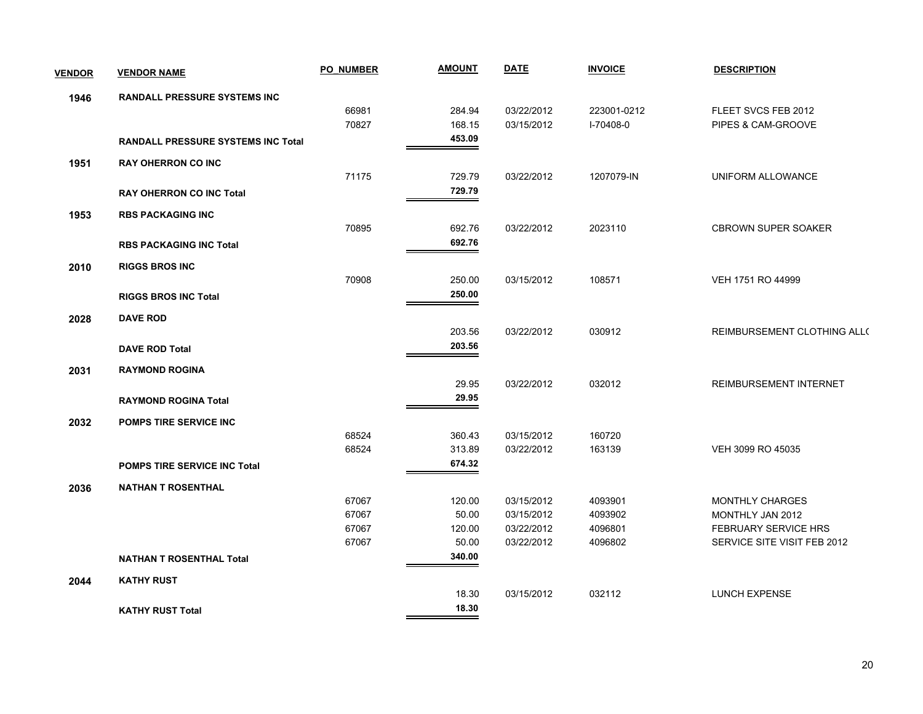| <b>VENDOR</b> | <b>VENDOR NAME</b>                        | <b>PO NUMBER</b> | <b>AMOUNT</b> | <b>DATE</b> | <b>INVOICE</b> | <b>DESCRIPTION</b>          |
|---------------|-------------------------------------------|------------------|---------------|-------------|----------------|-----------------------------|
| 1946          | <b>RANDALL PRESSURE SYSTEMS INC</b>       |                  |               |             |                |                             |
|               |                                           | 66981            | 284.94        | 03/22/2012  | 223001-0212    | FLEET SVCS FEB 2012         |
|               |                                           | 70827            | 168.15        | 03/15/2012  | I-70408-0      | PIPES & CAM-GROOVE          |
|               | <b>RANDALL PRESSURE SYSTEMS INC Total</b> |                  | 453.09        |             |                |                             |
| 1951          | <b>RAY OHERRON CO INC</b>                 |                  |               |             |                |                             |
|               |                                           | 71175            | 729.79        | 03/22/2012  | 1207079-IN     | UNIFORM ALLOWANCE           |
|               | <b>RAY OHERRON CO INC Total</b>           |                  | 729.79        |             |                |                             |
| 1953          | <b>RBS PACKAGING INC</b>                  |                  |               |             |                |                             |
|               |                                           | 70895            | 692.76        | 03/22/2012  | 2023110        | <b>CBROWN SUPER SOAKER</b>  |
|               | <b>RBS PACKAGING INC Total</b>            |                  | 692.76        |             |                |                             |
| 2010          | <b>RIGGS BROS INC</b>                     |                  |               |             |                |                             |
|               |                                           | 70908            | 250.00        | 03/15/2012  | 108571         | VEH 1751 RO 44999           |
|               | <b>RIGGS BROS INC Total</b>               |                  | 250.00        |             |                |                             |
| 2028          | <b>DAVE ROD</b>                           |                  |               |             |                |                             |
|               |                                           |                  | 203.56        | 03/22/2012  | 030912         | REIMBURSEMENT CLOTHING ALL( |
|               | <b>DAVE ROD Total</b>                     |                  | 203.56        |             |                |                             |
|               | <b>RAYMOND ROGINA</b>                     |                  |               |             |                |                             |
| 2031          |                                           |                  | 29.95         | 03/22/2012  | 032012         | REIMBURSEMENT INTERNET      |
|               |                                           |                  | 29.95         |             |                |                             |
|               | <b>RAYMOND ROGINA Total</b>               |                  |               |             |                |                             |
| 2032          | <b>POMPS TIRE SERVICE INC</b>             |                  |               |             |                |                             |
|               |                                           | 68524            | 360.43        | 03/15/2012  | 160720         |                             |
|               |                                           | 68524            | 313.89        | 03/22/2012  | 163139         | VEH 3099 RO 45035           |
|               | POMPS TIRE SERVICE INC Total              |                  | 674.32        |             |                |                             |
| 2036          | <b>NATHAN T ROSENTHAL</b>                 |                  |               |             |                |                             |
|               |                                           | 67067            | 120.00        | 03/15/2012  | 4093901        | MONTHLY CHARGES             |
|               |                                           | 67067            | 50.00         | 03/15/2012  | 4093902        | MONTHLY JAN 2012            |
|               |                                           | 67067            | 120.00        | 03/22/2012  | 4096801        | <b>FEBRUARY SERVICE HRS</b> |
|               |                                           | 67067            | 50.00         | 03/22/2012  | 4096802        | SERVICE SITE VISIT FEB 2012 |
|               | <b>NATHAN T ROSENTHAL Total</b>           |                  | 340.00        |             |                |                             |
| 2044          | <b>KATHY RUST</b>                         |                  |               |             |                |                             |
|               |                                           |                  | 18.30         | 03/15/2012  | 032112         | <b>LUNCH EXPENSE</b>        |
|               | <b>KATHY RUST Total</b>                   |                  | 18.30         |             |                |                             |
|               |                                           |                  |               |             |                |                             |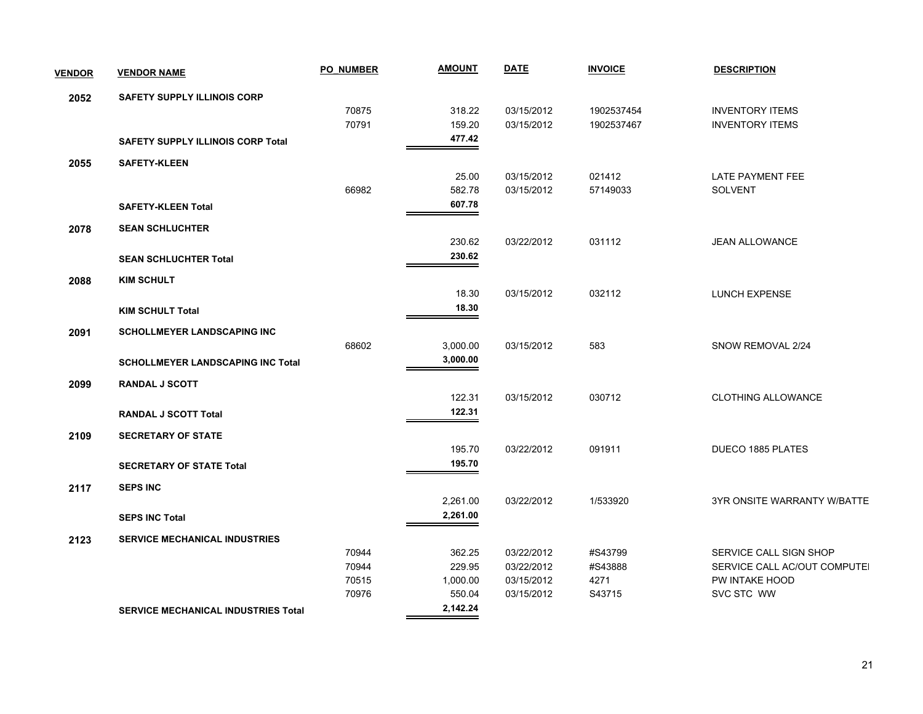| <b>VENDOR</b> | <b>VENDOR NAME</b>                         | <b>PO NUMBER</b> | <b>AMOUNT</b> | <b>DATE</b> | <b>INVOICE</b> | <b>DESCRIPTION</b>           |
|---------------|--------------------------------------------|------------------|---------------|-------------|----------------|------------------------------|
| 2052          | <b>SAFETY SUPPLY ILLINOIS CORP</b>         |                  |               |             |                |                              |
|               |                                            | 70875            | 318.22        | 03/15/2012  | 1902537454     | <b>INVENTORY ITEMS</b>       |
|               |                                            | 70791            | 159.20        | 03/15/2012  | 1902537467     | <b>INVENTORY ITEMS</b>       |
|               | <b>SAFETY SUPPLY ILLINOIS CORP Total</b>   |                  | 477.42        |             |                |                              |
| 2055          | <b>SAFETY-KLEEN</b>                        |                  |               |             |                |                              |
|               |                                            |                  | 25.00         | 03/15/2012  | 021412         | LATE PAYMENT FEE             |
|               |                                            | 66982            | 582.78        | 03/15/2012  | 57149033       | <b>SOLVENT</b>               |
|               | <b>SAFETY-KLEEN Total</b>                  |                  | 607.78        |             |                |                              |
| 2078          | <b>SEAN SCHLUCHTER</b>                     |                  |               |             |                |                              |
|               |                                            |                  | 230.62        | 03/22/2012  | 031112         | <b>JEAN ALLOWANCE</b>        |
|               | <b>SEAN SCHLUCHTER Total</b>               |                  | 230.62        |             |                |                              |
| 2088          | <b>KIM SCHULT</b>                          |                  |               |             |                |                              |
|               |                                            |                  | 18.30         | 03/15/2012  | 032112         | <b>LUNCH EXPENSE</b>         |
|               | <b>KIM SCHULT Total</b>                    |                  | 18.30         |             |                |                              |
| 2091          | SCHOLLMEYER LANDSCAPING INC                |                  |               |             |                |                              |
|               |                                            | 68602            | 3,000.00      | 03/15/2012  | 583            | SNOW REMOVAL 2/24            |
|               |                                            |                  | 3,000.00      |             |                |                              |
|               | <b>SCHOLLMEYER LANDSCAPING INC Total</b>   |                  |               |             |                |                              |
| 2099          | RANDAL J SCOTT                             |                  |               |             |                |                              |
|               |                                            |                  | 122.31        | 03/15/2012  | 030712         | <b>CLOTHING ALLOWANCE</b>    |
|               | <b>RANDAL J SCOTT Total</b>                |                  | 122.31        |             |                |                              |
|               |                                            |                  |               |             |                |                              |
| 2109          | <b>SECRETARY OF STATE</b>                  |                  |               |             |                |                              |
|               |                                            |                  | 195.70        | 03/22/2012  | 091911         | DUECO 1885 PLATES            |
|               | <b>SECRETARY OF STATE Total</b>            |                  | 195.70        |             |                |                              |
| 2117          | <b>SEPS INC</b>                            |                  |               |             |                |                              |
|               |                                            |                  | 2,261.00      | 03/22/2012  | 1/533920       | 3YR ONSITE WARRANTY W/BATTE  |
|               | <b>SEPS INC Total</b>                      |                  | 2,261.00      |             |                |                              |
| 2123          | <b>SERVICE MECHANICAL INDUSTRIES</b>       |                  |               |             |                |                              |
|               |                                            | 70944            | 362.25        | 03/22/2012  | #S43799        | SERVICE CALL SIGN SHOP       |
|               |                                            | 70944            | 229.95        | 03/22/2012  | #S43888        | SERVICE CALL AC/OUT COMPUTEI |
|               |                                            | 70515            | 1,000.00      | 03/15/2012  | 4271           | PW INTAKE HOOD               |
|               |                                            | 70976            | 550.04        | 03/15/2012  | S43715         | SVC STC WW                   |
|               | <b>SERVICE MECHANICAL INDUSTRIES Total</b> |                  | 2,142.24      |             |                |                              |
|               |                                            |                  |               |             |                |                              |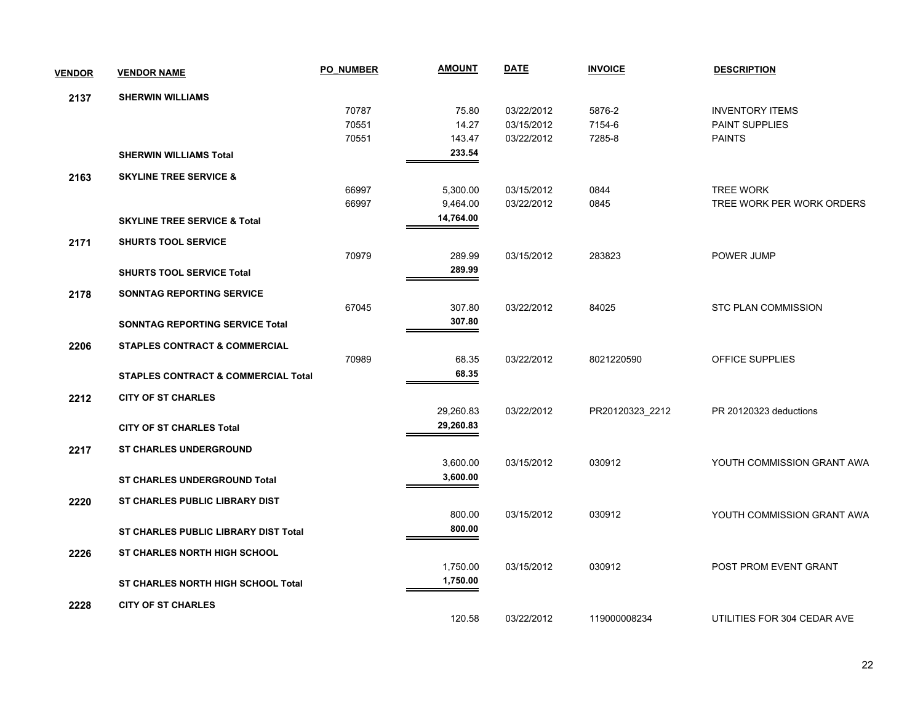| <b>VENDOR</b> | <b>VENDOR NAME</b>                             | <b>PO NUMBER</b> | <b>AMOUNT</b> | <b>DATE</b> | <b>INVOICE</b>  | <b>DESCRIPTION</b>          |
|---------------|------------------------------------------------|------------------|---------------|-------------|-----------------|-----------------------------|
| 2137          | <b>SHERWIN WILLIAMS</b>                        |                  |               |             |                 |                             |
|               |                                                | 70787            | 75.80         | 03/22/2012  | 5876-2          | <b>INVENTORY ITEMS</b>      |
|               |                                                | 70551            | 14.27         | 03/15/2012  | 7154-6          | PAINT SUPPLIES              |
|               |                                                | 70551            | 143.47        | 03/22/2012  | 7285-8          | <b>PAINTS</b>               |
|               | <b>SHERWIN WILLIAMS Total</b>                  |                  | 233.54        |             |                 |                             |
| 2163          | <b>SKYLINE TREE SERVICE &amp;</b>              |                  |               |             |                 |                             |
|               |                                                | 66997            | 5,300.00      | 03/15/2012  | 0844            | <b>TREE WORK</b>            |
|               |                                                | 66997            | 9,464.00      | 03/22/2012  | 0845            | TREE WORK PER WORK ORDERS   |
|               | <b>SKYLINE TREE SERVICE &amp; Total</b>        |                  | 14,764.00     |             |                 |                             |
| 2171          | <b>SHURTS TOOL SERVICE</b>                     |                  |               |             |                 |                             |
|               |                                                | 70979            | 289.99        | 03/15/2012  | 283823          | POWER JUMP                  |
|               | <b>SHURTS TOOL SERVICE Total</b>               |                  | 289.99        |             |                 |                             |
| 2178          | SONNTAG REPORTING SERVICE                      |                  |               |             |                 |                             |
|               |                                                | 67045            | 307.80        | 03/22/2012  | 84025           | <b>STC PLAN COMMISSION</b>  |
|               | <b>SONNTAG REPORTING SERVICE Total</b>         |                  | 307.80        |             |                 |                             |
| 2206          | <b>STAPLES CONTRACT &amp; COMMERCIAL</b>       |                  |               |             |                 |                             |
|               |                                                | 70989            | 68.35         | 03/22/2012  | 8021220590      | OFFICE SUPPLIES             |
|               | <b>STAPLES CONTRACT &amp; COMMERCIAL Total</b> |                  | 68.35         |             |                 |                             |
| 2212          | <b>CITY OF ST CHARLES</b>                      |                  |               |             |                 |                             |
|               |                                                |                  | 29,260.83     | 03/22/2012  | PR20120323_2212 | PR 20120323 deductions      |
|               | <b>CITY OF ST CHARLES Total</b>                |                  | 29,260.83     |             |                 |                             |
| 2217          | <b>ST CHARLES UNDERGROUND</b>                  |                  |               |             |                 |                             |
|               |                                                |                  | 3,600.00      | 03/15/2012  | 030912          | YOUTH COMMISSION GRANT AWA  |
|               | <b>ST CHARLES UNDERGROUND Total</b>            |                  | 3,600.00      |             |                 |                             |
| 2220          | <b>ST CHARLES PUBLIC LIBRARY DIST</b>          |                  |               |             |                 |                             |
|               |                                                |                  | 800.00        | 03/15/2012  | 030912          | YOUTH COMMISSION GRANT AWA  |
|               | ST CHARLES PUBLIC LIBRARY DIST Total           |                  | 800.00        |             |                 |                             |
| 2226          | <b>ST CHARLES NORTH HIGH SCHOOL</b>            |                  |               |             |                 |                             |
|               |                                                |                  | 1,750.00      | 03/15/2012  | 030912          | POST PROM EVENT GRANT       |
|               | <b>ST CHARLES NORTH HIGH SCHOOL Total</b>      |                  | 1,750.00      |             |                 |                             |
| 2228          | <b>CITY OF ST CHARLES</b>                      |                  |               |             |                 |                             |
|               |                                                |                  | 120.58        | 03/22/2012  | 119000008234    | UTILITIES FOR 304 CEDAR AVE |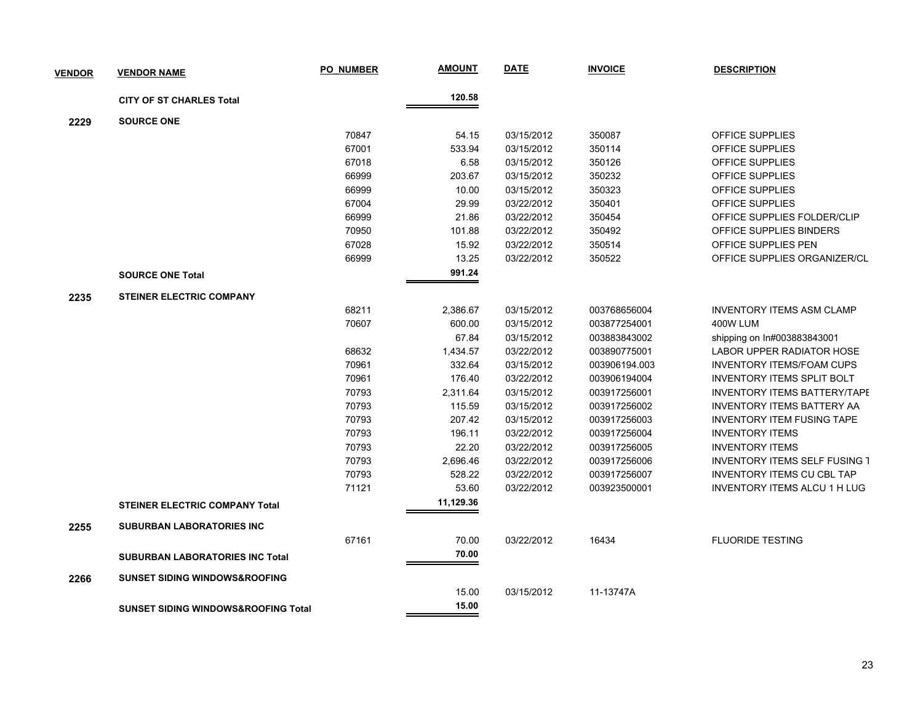| <b>VENDOR</b> | <b>VENDOR NAME</b>                             | <b>PO NUMBER</b> | <b>AMOUNT</b> | <b>DATE</b> | <b>INVOICE</b> | <b>DESCRIPTION</b>                   |
|---------------|------------------------------------------------|------------------|---------------|-------------|----------------|--------------------------------------|
|               | <b>CITY OF ST CHARLES Total</b>                |                  | 120.58        |             |                |                                      |
| 2229          | <b>SOURCE ONE</b>                              |                  |               |             |                |                                      |
|               |                                                | 70847            | 54.15         | 03/15/2012  | 350087         | <b>OFFICE SUPPLIES</b>               |
|               |                                                | 67001            | 533.94        | 03/15/2012  | 350114         | OFFICE SUPPLIES                      |
|               |                                                | 67018            | 6.58          | 03/15/2012  | 350126         | OFFICE SUPPLIES                      |
|               |                                                | 66999            | 203.67        | 03/15/2012  | 350232         | OFFICE SUPPLIES                      |
|               |                                                | 66999            | 10.00         | 03/15/2012  | 350323         | OFFICE SUPPLIES                      |
|               |                                                | 67004            | 29.99         | 03/22/2012  | 350401         | OFFICE SUPPLIES                      |
|               |                                                | 66999            | 21.86         | 03/22/2012  | 350454         | OFFICE SUPPLIES FOLDER/CLIP          |
|               |                                                | 70950            | 101.88        | 03/22/2012  | 350492         | OFFICE SUPPLIES BINDERS              |
|               |                                                | 67028            | 15.92         | 03/22/2012  | 350514         | OFFICE SUPPLIES PEN                  |
|               |                                                | 66999            | 13.25         | 03/22/2012  | 350522         | OFFICE SUPPLIES ORGANIZER/CL         |
|               |                                                |                  | 991.24        |             |                |                                      |
|               | <b>SOURCE ONE Total</b>                        |                  |               |             |                |                                      |
| 2235          | <b>STEINER ELECTRIC COMPANY</b>                |                  |               |             |                |                                      |
|               |                                                | 68211            | 2,386.67      | 03/15/2012  | 003768656004   | <b>INVENTORY ITEMS ASM CLAMP</b>     |
|               |                                                | 70607            | 600.00        | 03/15/2012  | 003877254001   | 400W LUM                             |
|               |                                                |                  | 67.84         | 03/15/2012  | 003883843002   | shipping on In#003883843001          |
|               |                                                | 68632            | 1,434.57      | 03/22/2012  | 003890775001   | LABOR UPPER RADIATOR HOSE            |
|               |                                                | 70961            | 332.64        | 03/15/2012  | 003906194.003  | <b>INVENTORY ITEMS/FOAM CUPS</b>     |
|               |                                                | 70961            | 176.40        | 03/22/2012  | 003906194004   | <b>INVENTORY ITEMS SPLIT BOLT</b>    |
|               |                                                | 70793            | 2,311.64      | 03/15/2012  | 003917256001   | <b>INVENTORY ITEMS BATTERY/TAPE</b>  |
|               |                                                | 70793            | 115.59        | 03/15/2012  | 003917256002   | <b>INVENTORY ITEMS BATTERY AA</b>    |
|               |                                                | 70793            | 207.42        | 03/15/2012  | 003917256003   | <b>INVENTORY ITEM FUSING TAPE</b>    |
|               |                                                | 70793            | 196.11        | 03/22/2012  | 003917256004   | <b>INVENTORY ITEMS</b>               |
|               |                                                | 70793            | 22.20         | 03/22/2012  | 003917256005   | <b>INVENTORY ITEMS</b>               |
|               |                                                | 70793            | 2,696.46      | 03/22/2012  | 003917256006   | <b>INVENTORY ITEMS SELF FUSING 1</b> |
|               |                                                | 70793            | 528.22        | 03/22/2012  | 003917256007   | <b>INVENTORY ITEMS CU CBL TAP</b>    |
|               |                                                | 71121            | 53.60         | 03/22/2012  | 003923500001   | <b>INVENTORY ITEMS ALCU 1 H LUG</b>  |
|               | <b>STEINER ELECTRIC COMPANY Total</b>          |                  | 11,129.36     |             |                |                                      |
| 2255          | <b>SUBURBAN LABORATORIES INC</b>               |                  |               |             |                |                                      |
|               |                                                | 67161            | 70.00         | 03/22/2012  | 16434          | <b>FLUORIDE TESTING</b>              |
|               | <b>SUBURBAN LABORATORIES INC Total</b>         |                  | 70.00         |             |                |                                      |
| 2266          | <b>SUNSET SIDING WINDOWS&amp;ROOFING</b>       |                  |               |             |                |                                      |
|               |                                                |                  | 15.00         | 03/15/2012  | 11-13747A      |                                      |
|               | <b>SUNSET SIDING WINDOWS&amp;ROOFING Total</b> |                  | 15.00         |             |                |                                      |
|               |                                                |                  |               |             |                |                                      |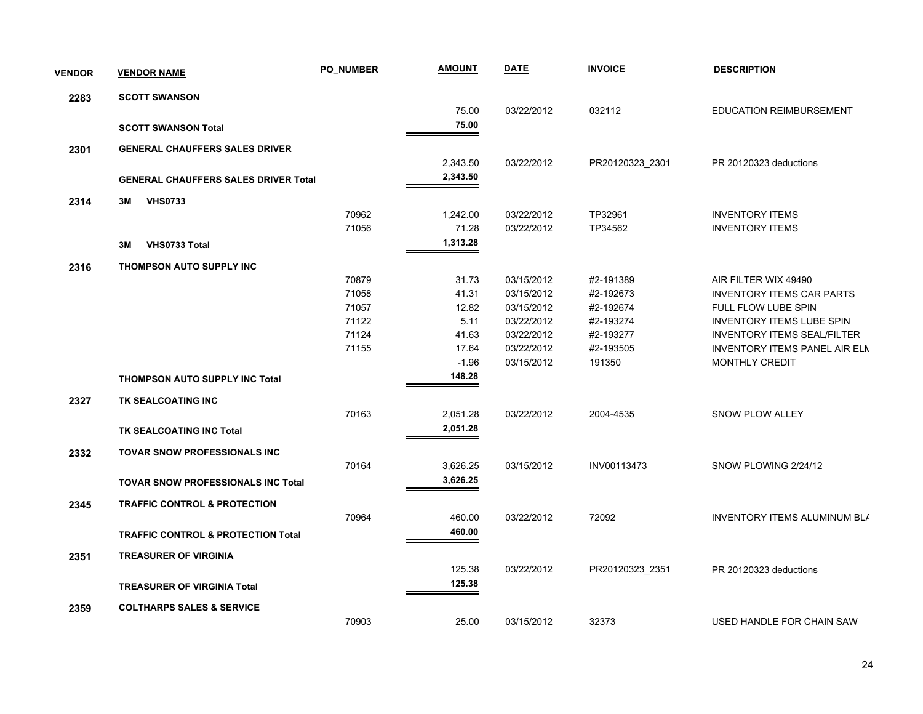| <b>VENDOR</b> | <b>VENDOR NAME</b>                            | <b>PO NUMBER</b> | <b>AMOUNT</b> | <b>DATE</b> | <b>INVOICE</b>  | <b>DESCRIPTION</b>                   |
|---------------|-----------------------------------------------|------------------|---------------|-------------|-----------------|--------------------------------------|
| 2283          | <b>SCOTT SWANSON</b>                          |                  |               |             |                 |                                      |
|               |                                               |                  | 75.00         | 03/22/2012  | 032112          | <b>EDUCATION REIMBURSEMENT</b>       |
|               | <b>SCOTT SWANSON Total</b>                    |                  | 75.00         |             |                 |                                      |
| 2301          | <b>GENERAL CHAUFFERS SALES DRIVER</b>         |                  |               |             |                 |                                      |
|               |                                               |                  | 2,343.50      | 03/22/2012  | PR20120323_2301 | PR 20120323 deductions               |
|               | <b>GENERAL CHAUFFERS SALES DRIVER Total</b>   |                  | 2,343.50      |             |                 |                                      |
| 2314          | 3M<br><b>VHS0733</b>                          |                  |               |             |                 |                                      |
|               |                                               | 70962            | 1,242.00      | 03/22/2012  | TP32961         | <b>INVENTORY ITEMS</b>               |
|               |                                               | 71056            | 71.28         | 03/22/2012  | TP34562         | <b>INVENTORY ITEMS</b>               |
|               | VHS0733 Total<br>3M                           |                  | 1,313.28      |             |                 |                                      |
| 2316          | THOMPSON AUTO SUPPLY INC                      |                  |               |             |                 |                                      |
|               |                                               | 70879            | 31.73         | 03/15/2012  | #2-191389       | AIR FILTER WIX 49490                 |
|               |                                               | 71058            | 41.31         | 03/15/2012  | #2-192673       | <b>INVENTORY ITEMS CAR PARTS</b>     |
|               |                                               | 71057            | 12.82         | 03/15/2012  | #2-192674       | FULL FLOW LUBE SPIN                  |
|               |                                               | 71122            | 5.11          | 03/22/2012  | #2-193274       | <b>INVENTORY ITEMS LUBE SPIN</b>     |
|               |                                               | 71124            | 41.63         | 03/22/2012  | #2-193277       | <b>INVENTORY ITEMS SEAL/FILTER</b>   |
|               |                                               | 71155            | 17.64         | 03/22/2012  | #2-193505       | <b>INVENTORY ITEMS PANEL AIR ELN</b> |
|               |                                               |                  | $-1.96$       | 03/15/2012  | 191350          | <b>MONTHLY CREDIT</b>                |
|               | <b>THOMPSON AUTO SUPPLY INC Total</b>         |                  | 148.28        |             |                 |                                      |
| 2327          | TK SEALCOATING INC                            |                  |               |             |                 |                                      |
|               |                                               | 70163            | 2,051.28      | 03/22/2012  | 2004-4535       | SNOW PLOW ALLEY                      |
|               | TK SEALCOATING INC Total                      |                  | 2,051.28      |             |                 |                                      |
| 2332          | <b>TOVAR SNOW PROFESSIONALS INC</b>           |                  |               |             |                 |                                      |
|               |                                               | 70164            | 3,626.25      | 03/15/2012  | INV00113473     | SNOW PLOWING 2/24/12                 |
|               | <b>TOVAR SNOW PROFESSIONALS INC Total</b>     |                  | 3,626.25      |             |                 |                                      |
| 2345          | <b>TRAFFIC CONTROL &amp; PROTECTION</b>       |                  |               |             |                 |                                      |
|               |                                               | 70964            | 460.00        | 03/22/2012  | 72092           | <b>INVENTORY ITEMS ALUMINUM BL/</b>  |
|               | <b>TRAFFIC CONTROL &amp; PROTECTION Total</b> |                  | 460.00        |             |                 |                                      |
| 2351          | <b>TREASURER OF VIRGINIA</b>                  |                  |               |             |                 |                                      |
|               |                                               |                  | 125.38        | 03/22/2012  | PR20120323_2351 | PR 20120323 deductions               |
|               | <b>TREASURER OF VIRGINIA Total</b>            |                  | 125.38        |             |                 |                                      |
|               |                                               |                  |               |             |                 |                                      |
| 2359          | <b>COLTHARPS SALES &amp; SERVICE</b>          |                  |               |             |                 |                                      |
|               |                                               | 70903            | 25.00         | 03/15/2012  | 32373           | USED HANDLE FOR CHAIN SAW            |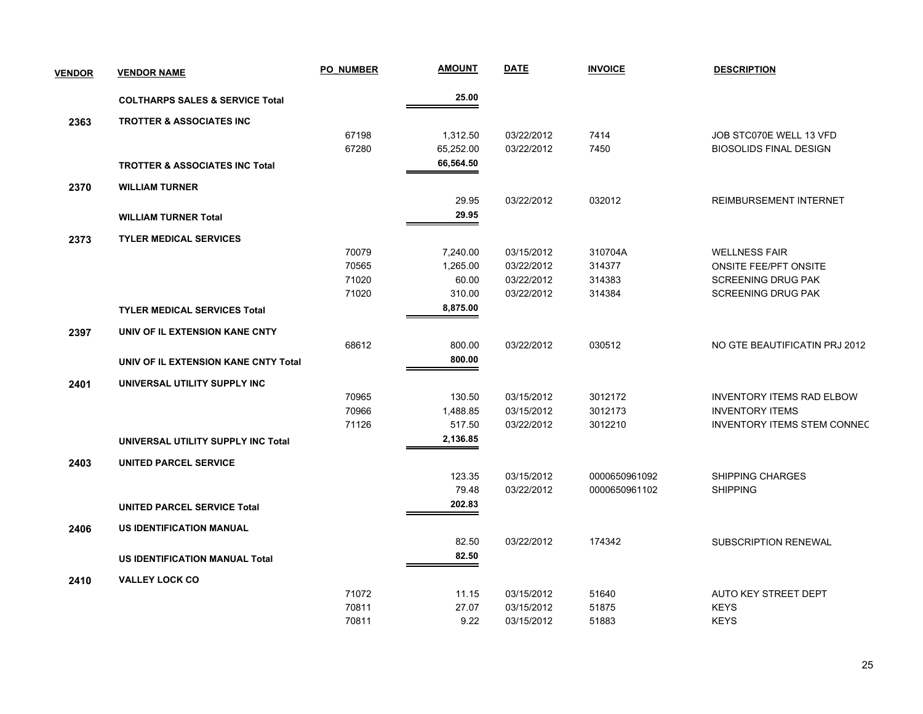| <b>VENDOR</b> | <b>VENDOR NAME</b>                         | <b>PO NUMBER</b> | <u>AMOUNT</u> | <b>DATE</b> | <b>INVOICE</b> | <b>DESCRIPTION</b>                 |
|---------------|--------------------------------------------|------------------|---------------|-------------|----------------|------------------------------------|
|               | <b>COLTHARPS SALES &amp; SERVICE Total</b> |                  | 25.00         |             |                |                                    |
| 2363          | <b>TROTTER &amp; ASSOCIATES INC.</b>       |                  |               |             |                |                                    |
|               |                                            | 67198            | 1,312.50      | 03/22/2012  | 7414           | JOB STC070E WELL 13 VFD            |
|               |                                            | 67280            | 65,252.00     | 03/22/2012  | 7450           | <b>BIOSOLIDS FINAL DESIGN</b>      |
|               | <b>TROTTER &amp; ASSOCIATES INC Total</b>  |                  | 66,564.50     |             |                |                                    |
| 2370          | <b>WILLIAM TURNER</b>                      |                  |               |             |                |                                    |
|               |                                            |                  | 29.95         | 03/22/2012  | 032012         | <b>REIMBURSEMENT INTERNET</b>      |
|               | <b>WILLIAM TURNER Total</b>                |                  | 29.95         |             |                |                                    |
| 2373          | <b>TYLER MEDICAL SERVICES</b>              |                  |               |             |                |                                    |
|               |                                            | 70079            | 7,240.00      | 03/15/2012  | 310704A        | <b>WELLNESS FAIR</b>               |
|               |                                            | 70565            | 1,265.00      | 03/22/2012  | 314377         | <b>ONSITE FEE/PFT ONSITE</b>       |
|               |                                            | 71020            | 60.00         | 03/22/2012  | 314383         | <b>SCREENING DRUG PAK</b>          |
|               |                                            | 71020            | 310.00        | 03/22/2012  | 314384         | <b>SCREENING DRUG PAK</b>          |
|               | <b>TYLER MEDICAL SERVICES Total</b>        |                  | 8,875.00      |             |                |                                    |
| 2397          | UNIV OF IL EXTENSION KANE CNTY             |                  |               |             |                |                                    |
|               |                                            | 68612            | 800.00        | 03/22/2012  | 030512         | NO GTE BEAUTIFICATIN PRJ 2012      |
|               | UNIV OF IL EXTENSION KANE CNTY Total       |                  | 800.00        |             |                |                                    |
| 2401          | UNIVERSAL UTILITY SUPPLY INC               |                  |               |             |                |                                    |
|               |                                            | 70965            | 130.50        | 03/15/2012  | 3012172        | <b>INVENTORY ITEMS RAD ELBOW</b>   |
|               |                                            | 70966            | 1,488.85      | 03/15/2012  | 3012173        | <b>INVENTORY ITEMS</b>             |
|               |                                            | 71126            | 517.50        | 03/22/2012  | 3012210        | <b>INVENTORY ITEMS STEM CONNEC</b> |
|               | UNIVERSAL UTILITY SUPPLY INC Total         |                  | 2,136.85      |             |                |                                    |
| 2403          | <b>UNITED PARCEL SERVICE</b>               |                  |               |             |                |                                    |
|               |                                            |                  | 123.35        | 03/15/2012  | 0000650961092  | <b>SHIPPING CHARGES</b>            |
|               |                                            |                  | 79.48         | 03/22/2012  | 0000650961102  | <b>SHIPPING</b>                    |
|               | <b>UNITED PARCEL SERVICE Total</b>         |                  | 202.83        |             |                |                                    |
| 2406          | <b>US IDENTIFICATION MANUAL</b>            |                  |               |             |                |                                    |
|               |                                            |                  | 82.50         | 03/22/2012  | 174342         | <b>SUBSCRIPTION RENEWAL</b>        |
|               | <b>US IDENTIFICATION MANUAL Total</b>      |                  | 82.50         |             |                |                                    |
| 2410          | <b>VALLEY LOCK CO</b>                      |                  |               |             |                |                                    |
|               |                                            | 71072            | 11.15         | 03/15/2012  | 51640          | AUTO KEY STREET DEPT               |
|               |                                            | 70811            | 27.07         | 03/15/2012  | 51875          | <b>KEYS</b>                        |
|               |                                            | 70811            | 9.22          | 03/15/2012  | 51883          | <b>KEYS</b>                        |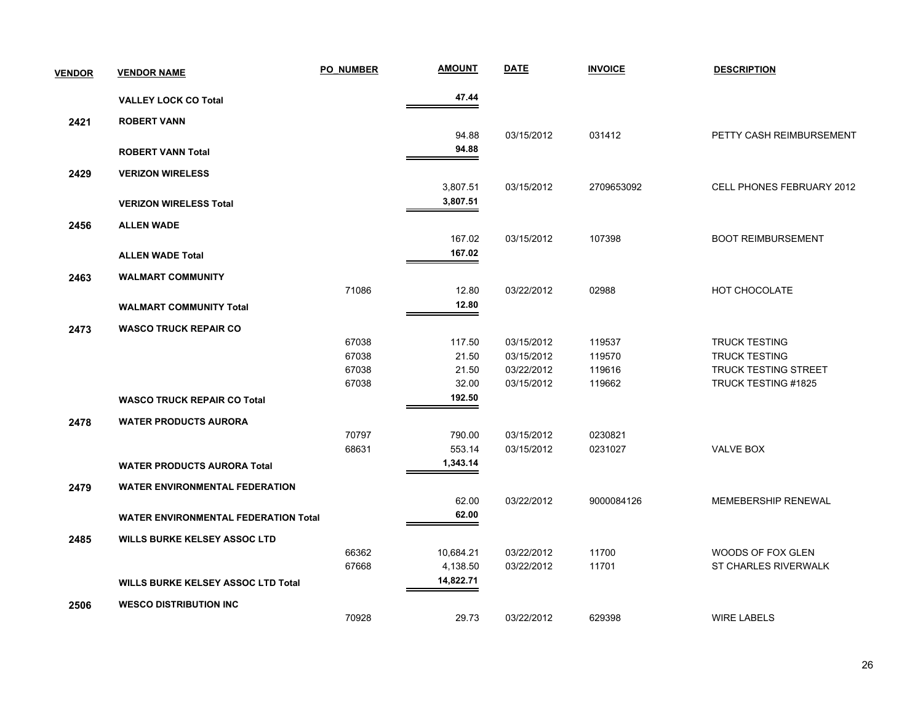| <b>VENDOR</b> | <b>VENDOR NAME</b>                          | <b>PO NUMBER</b> | <b>AMOUNT</b> | <b>DATE</b> | <b>INVOICE</b> | <b>DESCRIPTION</b>          |
|---------------|---------------------------------------------|------------------|---------------|-------------|----------------|-----------------------------|
|               | <b>VALLEY LOCK CO Total</b>                 |                  | 47.44         |             |                |                             |
| 2421          | <b>ROBERT VANN</b>                          |                  |               |             |                |                             |
|               |                                             |                  | 94.88         | 03/15/2012  | 031412         | PETTY CASH REIMBURSEMENT    |
|               | <b>ROBERT VANN Total</b>                    |                  | 94.88         |             |                |                             |
| 2429          | <b>VERIZON WIRELESS</b>                     |                  |               |             |                |                             |
|               |                                             |                  | 3,807.51      | 03/15/2012  | 2709653092     | CELL PHONES FEBRUARY 2012   |
|               | <b>VERIZON WIRELESS Total</b>               |                  | 3,807.51      |             |                |                             |
| 2456          | <b>ALLEN WADE</b>                           |                  |               |             |                |                             |
|               |                                             |                  | 167.02        | 03/15/2012  | 107398         | <b>BOOT REIMBURSEMENT</b>   |
|               | <b>ALLEN WADE Total</b>                     |                  | 167.02        |             |                |                             |
| 2463          | <b>WALMART COMMUNITY</b>                    |                  |               |             |                |                             |
|               |                                             | 71086            | 12.80         | 03/22/2012  | 02988          | HOT CHOCOLATE               |
|               | <b>WALMART COMMUNITY Total</b>              |                  | 12.80         |             |                |                             |
| 2473          | <b>WASCO TRUCK REPAIR CO</b>                |                  |               |             |                |                             |
|               |                                             | 67038            | 117.50        | 03/15/2012  | 119537         | <b>TRUCK TESTING</b>        |
|               |                                             | 67038            | 21.50         | 03/15/2012  | 119570         | <b>TRUCK TESTING</b>        |
|               |                                             | 67038            | 21.50         | 03/22/2012  | 119616         | <b>TRUCK TESTING STREET</b> |
|               |                                             | 67038            | 32.00         | 03/15/2012  | 119662         | TRUCK TESTING #1825         |
|               | <b>WASCO TRUCK REPAIR CO Total</b>          |                  | 192.50        |             |                |                             |
| 2478          | <b>WATER PRODUCTS AURORA</b>                |                  |               |             |                |                             |
|               |                                             | 70797            | 790.00        | 03/15/2012  | 0230821        |                             |
|               |                                             | 68631            | 553.14        | 03/15/2012  | 0231027        | VALVE BOX                   |
|               | <b>WATER PRODUCTS AURORA Total</b>          |                  | 1,343.14      |             |                |                             |
| 2479          | <b>WATER ENVIRONMENTAL FEDERATION</b>       |                  |               |             |                |                             |
|               |                                             |                  | 62.00         | 03/22/2012  | 9000084126     | MEMEBERSHIP RENEWAL         |
|               | <b>WATER ENVIRONMENTAL FEDERATION Total</b> |                  | 62.00         |             |                |                             |
| 2485          | <b>WILLS BURKE KELSEY ASSOC LTD</b>         |                  |               |             |                |                             |
|               |                                             | 66362            | 10,684.21     | 03/22/2012  | 11700          | WOODS OF FOX GLEN           |
|               |                                             | 67668            | 4,138.50      | 03/22/2012  | 11701          | <b>ST CHARLES RIVERWALK</b> |
|               | <b>WILLS BURKE KELSEY ASSOC LTD Total</b>   |                  | 14,822.71     |             |                |                             |
| 2506          | <b>WESCO DISTRIBUTION INC</b>               |                  |               |             |                |                             |
|               |                                             | 70928            | 29.73         | 03/22/2012  | 629398         | <b>WIRE LABELS</b>          |
|               |                                             |                  |               |             |                |                             |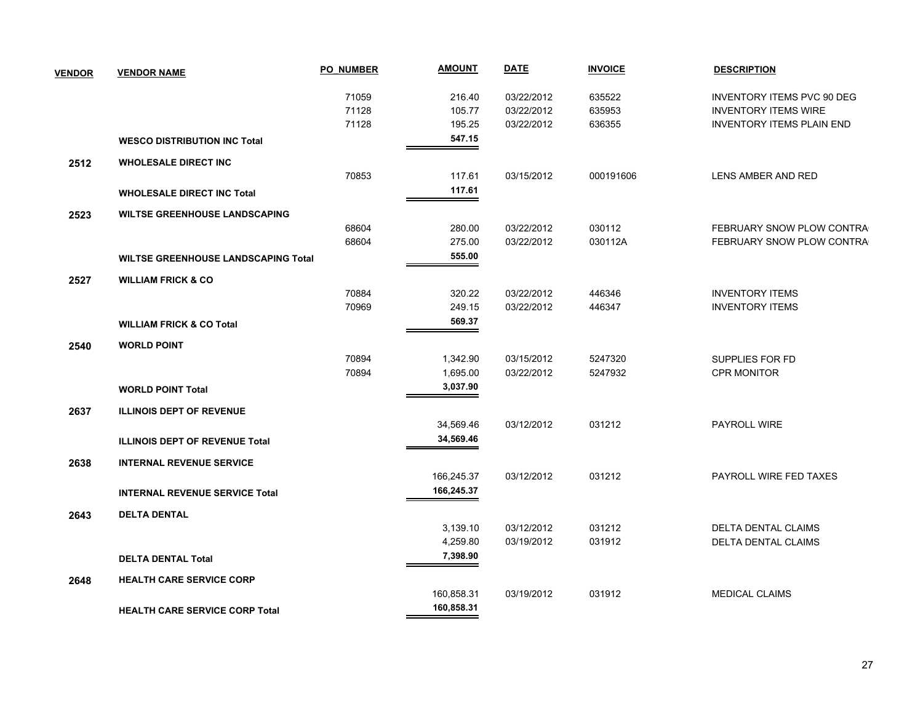| <b>VENDOR</b> | <b>VENDOR NAME</b>                         | <b>PO NUMBER</b> | <b>AMOUNT</b> | <b>DATE</b> | <b>INVOICE</b> | <b>DESCRIPTION</b>                |
|---------------|--------------------------------------------|------------------|---------------|-------------|----------------|-----------------------------------|
|               |                                            | 71059            | 216.40        | 03/22/2012  | 635522         | <b>INVENTORY ITEMS PVC 90 DEG</b> |
|               |                                            | 71128            | 105.77        | 03/22/2012  | 635953         | <b>INVENTORY ITEMS WIRE</b>       |
|               |                                            | 71128            | 195.25        | 03/22/2012  | 636355         | <b>INVENTORY ITEMS PLAIN END</b>  |
|               | <b>WESCO DISTRIBUTION INC Total</b>        |                  | 547.15        |             |                |                                   |
| 2512          | <b>WHOLESALE DIRECT INC</b>                |                  |               |             |                |                                   |
|               |                                            | 70853            | 117.61        | 03/15/2012  | 000191606      | LENS AMBER AND RED                |
|               | <b>WHOLESALE DIRECT INC Total</b>          |                  | 117.61        |             |                |                                   |
| 2523          | <b>WILTSE GREENHOUSE LANDSCAPING</b>       |                  |               |             |                |                                   |
|               |                                            | 68604            | 280.00        | 03/22/2012  | 030112         | FEBRUARY SNOW PLOW CONTRA         |
|               |                                            | 68604            | 275.00        | 03/22/2012  | 030112A        | FEBRUARY SNOW PLOW CONTRA         |
|               | <b>WILTSE GREENHOUSE LANDSCAPING Total</b> |                  | 555.00        |             |                |                                   |
| 2527          | <b>WILLIAM FRICK &amp; CO</b>              |                  |               |             |                |                                   |
|               |                                            | 70884            | 320.22        | 03/22/2012  | 446346         | <b>INVENTORY ITEMS</b>            |
|               |                                            | 70969            | 249.15        | 03/22/2012  | 446347         | <b>INVENTORY ITEMS</b>            |
|               | <b>WILLIAM FRICK &amp; CO Total</b>        |                  | 569.37        |             |                |                                   |
| 2540          | <b>WORLD POINT</b>                         |                  |               |             |                |                                   |
|               |                                            | 70894            | 1,342.90      | 03/15/2012  | 5247320        | SUPPLIES FOR FD                   |
|               |                                            | 70894            | 1,695.00      | 03/22/2012  | 5247932        | <b>CPR MONITOR</b>                |
|               | <b>WORLD POINT Total</b>                   |                  | 3,037.90      |             |                |                                   |
| 2637          | <b>ILLINOIS DEPT OF REVENUE</b>            |                  |               |             |                |                                   |
|               |                                            |                  | 34,569.46     | 03/12/2012  | 031212         | PAYROLL WIRE                      |
|               | <b>ILLINOIS DEPT OF REVENUE Total</b>      |                  | 34,569.46     |             |                |                                   |
| 2638          | <b>INTERNAL REVENUE SERVICE</b>            |                  |               |             |                |                                   |
|               |                                            |                  | 166,245.37    | 03/12/2012  | 031212         | PAYROLL WIRE FED TAXES            |
|               | <b>INTERNAL REVENUE SERVICE Total</b>      |                  | 166,245.37    |             |                |                                   |
| 2643          | <b>DELTA DENTAL</b>                        |                  |               |             |                |                                   |
|               |                                            |                  | 3,139.10      | 03/12/2012  | 031212         | <b>DELTA DENTAL CLAIMS</b>        |
|               |                                            |                  | 4,259.80      | 03/19/2012  | 031912         | <b>DELTA DENTAL CLAIMS</b>        |
|               | <b>DELTA DENTAL Total</b>                  |                  | 7,398.90      |             |                |                                   |
| 2648          | <b>HEALTH CARE SERVICE CORP</b>            |                  |               |             |                |                                   |
|               |                                            |                  | 160,858.31    | 03/19/2012  | 031912         | <b>MEDICAL CLAIMS</b>             |
|               |                                            |                  | 160,858.31    |             |                |                                   |
|               | <b>HEALTH CARE SERVICE CORP Total</b>      |                  |               |             |                |                                   |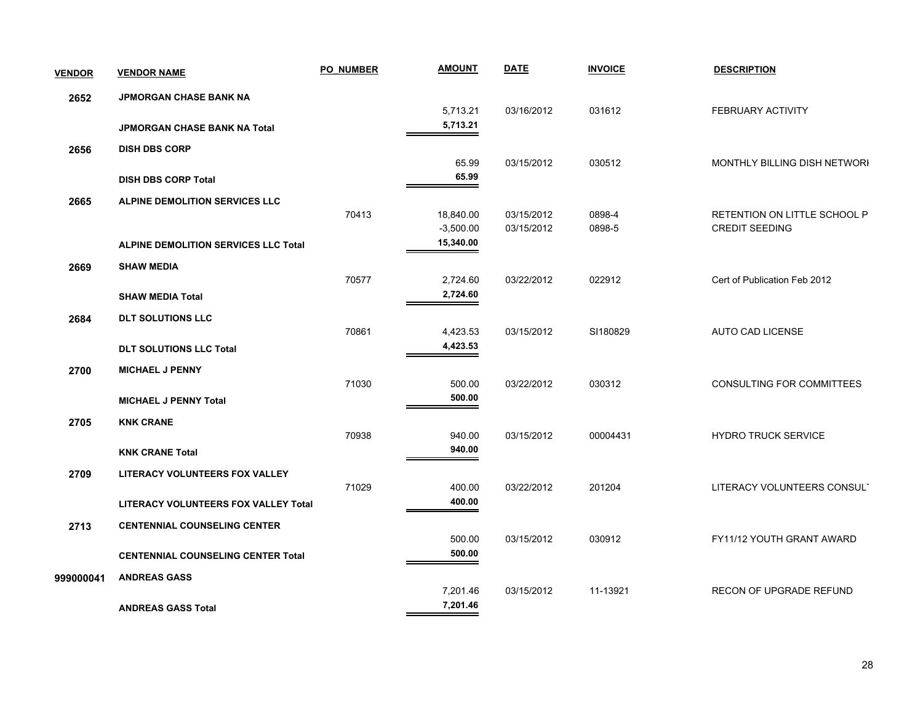| <b>VENDOR</b> | <b>VENDOR NAME</b>                          | <b>PO NUMBER</b> | <b>AMOUNT</b> | <b>DATE</b> | <b>INVOICE</b> | <b>DESCRIPTION</b>               |
|---------------|---------------------------------------------|------------------|---------------|-------------|----------------|----------------------------------|
| 2652          | JPMORGAN CHASE BANK NA                      |                  |               |             |                |                                  |
|               |                                             |                  | 5,713.21      | 03/16/2012  | 031612         | <b>FEBRUARY ACTIVITY</b>         |
|               | <b>JPMORGAN CHASE BANK NA Total</b>         |                  | 5,713.21      |             |                |                                  |
| 2656          | <b>DISH DBS CORP</b>                        |                  |               |             |                |                                  |
|               |                                             |                  | 65.99         | 03/15/2012  | 030512         | MONTHLY BILLING DISH NETWORI     |
|               | <b>DISH DBS CORP Total</b>                  |                  | 65.99         |             |                |                                  |
| 2665          | ALPINE DEMOLITION SERVICES LLC              |                  |               |             |                |                                  |
|               |                                             | 70413            | 18,840.00     | 03/15/2012  | 0898-4         | RETENTION ON LITTLE SCHOOL P     |
|               |                                             |                  | $-3,500.00$   | 03/15/2012  | 0898-5         | <b>CREDIT SEEDING</b>            |
|               | <b>ALPINE DEMOLITION SERVICES LLC Total</b> |                  | 15,340.00     |             |                |                                  |
| 2669          | <b>SHAW MEDIA</b>                           |                  |               |             |                |                                  |
|               |                                             | 70577            | 2,724.60      | 03/22/2012  | 022912         | Cert of Publication Feb 2012     |
|               | <b>SHAW MEDIA Total</b>                     |                  | 2,724.60      |             |                |                                  |
| 2684          | <b>DLT SOLUTIONS LLC</b>                    |                  |               |             |                |                                  |
|               |                                             | 70861            | 4,423.53      | 03/15/2012  | SI180829       | AUTO CAD LICENSE                 |
|               | <b>DLT SOLUTIONS LLC Total</b>              |                  | 4,423.53      |             |                |                                  |
| 2700          | <b>MICHAEL J PENNY</b>                      |                  |               |             |                |                                  |
|               |                                             | 71030            | 500.00        | 03/22/2012  | 030312         | <b>CONSULTING FOR COMMITTEES</b> |
|               | <b>MICHAEL J PENNY Total</b>                |                  | 500.00        |             |                |                                  |
| 2705          | <b>KNK CRANE</b>                            |                  |               |             |                |                                  |
|               |                                             | 70938            | 940.00        | 03/15/2012  | 00004431       | <b>HYDRO TRUCK SERVICE</b>       |
|               | <b>KNK CRANE Total</b>                      |                  | 940.00        |             |                |                                  |
| 2709          | LITERACY VOLUNTEERS FOX VALLEY              |                  |               |             |                |                                  |
|               |                                             | 71029            | 400.00        | 03/22/2012  | 201204         | LITERACY VOLUNTEERS CONSULT      |
|               | <b>LITERACY VOLUNTEERS FOX VALLEY Total</b> |                  | 400.00        |             |                |                                  |
| 2713          | <b>CENTENNIAL COUNSELING CENTER</b>         |                  |               |             |                |                                  |
|               |                                             |                  | 500.00        | 03/15/2012  | 030912         | FY11/12 YOUTH GRANT AWARD        |
|               | <b>CENTENNIAL COUNSELING CENTER Total</b>   |                  | 500.00        |             |                |                                  |
| 999000041     | <b>ANDREAS GASS</b>                         |                  |               |             |                |                                  |
|               |                                             |                  | 7,201.46      | 03/15/2012  | 11-13921       | RECON OF UPGRADE REFUND          |
|               | <b>ANDREAS GASS Total</b>                   |                  | 7,201.46      |             |                |                                  |